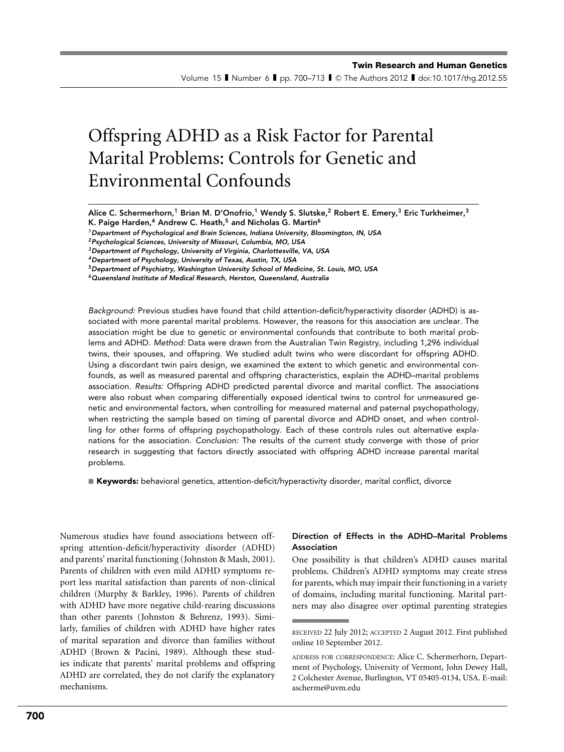Volume 15 II Number 6 II pp. 700–713 II © The Authors 2012 II doi:10.1017/thg.2012.55

# Offspring ADHD as a Risk Factor for Parental Marital Problems: Controls for Genetic and Environmental Confounds

Alice C. Schermerhorn,<sup>1</sup> Brian M. D'Onofrio,<sup>1</sup> Wendy S. Slutske,<sup>2</sup> Robert E. Emery,<sup>3</sup> Eric Turkheimer,<sup>3</sup> K. Paige Harden,<sup>4</sup> Andrew C. Heath,<sup>5</sup> and Nicholas G. Martin<sup>6</sup>

<sup>1</sup> Department of Psychological and Brain Sciences, Indiana University, Bloomington, IN, USA

<sup>5</sup>Department of Psychiatry, Washington University School of Medicine, St. Louis, MO, USA

<sup>6</sup>Queensland Institute of Medical Research, Herston, Queensland, Australia

Background: Previous studies have found that child attention-deficit/hyperactivity disorder (ADHD) is associated with more parental marital problems. However, the reasons for this association are unclear. The association might be due to genetic or environmental confounds that contribute to both marital problems and ADHD. Method: Data were drawn from the Australian Twin Registry, including 1,296 individual twins, their spouses, and offspring. We studied adult twins who were discordant for offspring ADHD. Using a discordant twin pairs design, we examined the extent to which genetic and environmental confounds, as well as measured parental and offspring characteristics, explain the ADHD–marital problems association. Results: Offspring ADHD predicted parental divorce and marital conflict. The associations were also robust when comparing differentially exposed identical twins to control for unmeasured genetic and environmental factors, when controlling for measured maternal and paternal psychopathology, when restricting the sample based on timing of parental divorce and ADHD onset, and when controlling for other forms of offspring psychopathology. Each of these controls rules out alternative explanations for the association. Conclusion: The results of the current study converge with those of prior research in suggesting that factors directly associated with offspring ADHD increase parental marital problems.

**Exeywords:** behavioral genetics, attention-deficit/hyperactivity disorder, marital conflict, divorce

Numerous studies have found associations between offspring attention-deficit/hyperactivity disorder (ADHD) and parents' marital functioning (Johnston & Mash, 2001). Parents of children with even mild ADHD symptoms report less marital satisfaction than parents of non-clinical children (Murphy & Barkley, 1996). Parents of children with ADHD have more negative child-rearing discussions than other parents (Johnston & Behrenz, 1993). Similarly, families of children with ADHD have higher rates of marital separation and divorce than families without ADHD (Brown & Pacini, 1989). Although these studies indicate that parents' marital problems and offspring ADHD are correlated, they do not clarify the explanatory mechanisms.

# Direction of Effects in the ADHD–Marital Problems Association

One possibility is that children's ADHD causes marital problems. Children's ADHD symptoms may create stress for parents, which may impair their functioning in a variety of domains, including marital functioning. Marital partners may also disagree over optimal parenting strategies

<sup>2</sup>Psychological Sciences, University of Missouri, Columbia, MO, USA

<sup>&</sup>lt;sup>3</sup> Department of Psychology, University of Virginia, Charlottesville, VA, USA

<sup>4</sup>Department of Psychology, University of Texas, Austin, TX, USA

RECEIVED 22 July 2012; ACCEPTED 2 August 2012. First published online 10 September 2012.

ADDRESS FOR CORRESPONDENCE: Alice C. Schermerhorn, Department of Psychology, University of Vermont, John Dewey Hall, 2 Colchester Avenue, Burlington, VT 05405-0134, USA. E-mail: ascherme@uvm.edu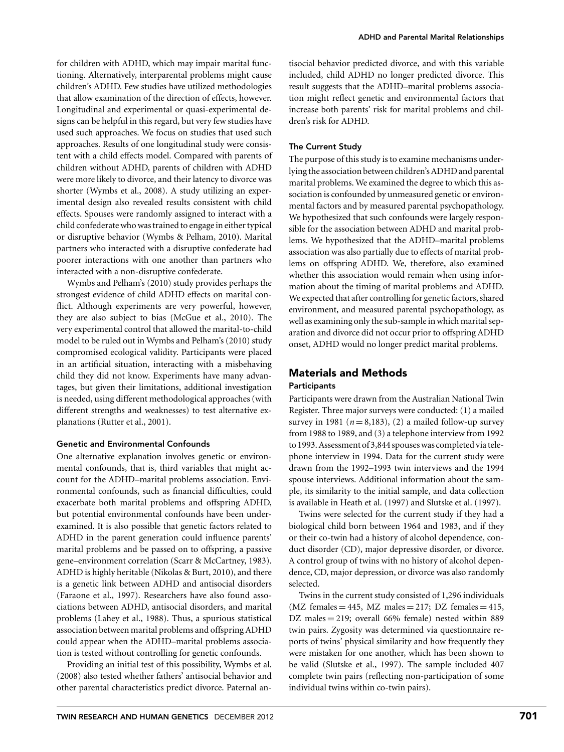for children with ADHD, which may impair marital functioning. Alternatively, interparental problems might cause children's ADHD. Few studies have utilized methodologies that allow examination of the direction of effects, however. Longitudinal and experimental or quasi-experimental designs can be helpful in this regard, but very few studies have used such approaches. We focus on studies that used such approaches. Results of one longitudinal study were consistent with a child effects model. Compared with parents of children without ADHD, parents of children with ADHD were more likely to divorce, and their latency to divorce was shorter (Wymbs et al., 2008). A study utilizing an experimental design also revealed results consistent with child effects. Spouses were randomly assigned to interact with a child confederate who was trained to engage in either typical or disruptive behavior (Wymbs & Pelham, 2010). Marital partners who interacted with a disruptive confederate had poorer interactions with one another than partners who interacted with a non-disruptive confederate.

Wymbs and Pelham's (2010) study provides perhaps the strongest evidence of child ADHD effects on marital conflict. Although experiments are very powerful, however, they are also subject to bias (McGue et al., 2010). The very experimental control that allowed the marital-to-child model to be ruled out in Wymbs and Pelham's (2010) study compromised ecological validity. Participants were placed in an artificial situation, interacting with a misbehaving child they did not know. Experiments have many advantages, but given their limitations, additional investigation is needed, using different methodological approaches (with different strengths and weaknesses) to test alternative explanations (Rutter et al., 2001).

# Genetic and Environmental Confounds

One alternative explanation involves genetic or environmental confounds, that is, third variables that might account for the ADHD–marital problems association. Environmental confounds, such as financial difficulties, could exacerbate both marital problems and offspring ADHD, but potential environmental confounds have been underexamined. It is also possible that genetic factors related to ADHD in the parent generation could influence parents' marital problems and be passed on to offspring, a passive gene–environment correlation (Scarr & McCartney, 1983). ADHD is highly heritable (Nikolas & Burt, 2010), and there is a genetic link between ADHD and antisocial disorders (Faraone et al., 1997). Researchers have also found associations between ADHD, antisocial disorders, and marital problems (Lahey et al., 1988). Thus, a spurious statistical association between marital problems and offspring ADHD could appear when the ADHD–marital problems association is tested without controlling for genetic confounds.

Providing an initial test of this possibility, Wymbs et al. (2008) also tested whether fathers' antisocial behavior and other parental characteristics predict divorce. Paternal antisocial behavior predicted divorce, and with this variable included, child ADHD no longer predicted divorce. This result suggests that the ADHD–marital problems association might reflect genetic and environmental factors that increase both parents' risk for marital problems and children's risk for ADHD.

#### The Current Study

The purpose of this study is to examine mechanisms underlying the association between children's ADHD and parental marital problems. We examined the degree to which this association is confounded by unmeasured genetic or environmental factors and by measured parental psychopathology. We hypothesized that such confounds were largely responsible for the association between ADHD and marital problems. We hypothesized that the ADHD–marital problems association was also partially due to effects of marital problems on offspring ADHD. We, therefore, also examined whether this association would remain when using information about the timing of marital problems and ADHD. We expected that after controlling for genetic factors, shared environment, and measured parental psychopathology, as well as examining only the sub-sample in which marital separation and divorce did not occur prior to offspring ADHD onset, ADHD would no longer predict marital problems.

# Materials and Methods

### **Participants**

Participants were drawn from the Australian National Twin Register. Three major surveys were conducted: (1) a mailed survey in 1981 ( $n = 8,183$ ), (2) a mailed follow-up survey from 1988 to 1989, and (3) a telephone interview from 1992 to 1993. Assessment of 3,844 spouseswas completed via telephone interview in 1994. Data for the current study were drawn from the 1992–1993 twin interviews and the 1994 spouse interviews. Additional information about the sample, its similarity to the initial sample, and data collection is available in Heath et al. (1997) and Slutske et al. (1997).

Twins were selected for the current study if they had a biological child born between 1964 and 1983, and if they or their co-twin had a history of alcohol dependence, conduct disorder (CD), major depressive disorder, or divorce. A control group of twins with no history of alcohol dependence, CD, major depression, or divorce was also randomly selected.

Twins in the current study consisted of 1,296 individuals  $(MZ \text{ females} = 445, MZ \text{ males} = 217; DZ \text{ females} = 415,$ DZ males  $= 219$ ; overall 66% female) nested within 889 twin pairs. Zygosity was determined via questionnaire reports of twins' physical similarity and how frequently they were mistaken for one another, which has been shown to be valid (Slutske et al., 1997). The sample included 407 complete twin pairs (reflecting non-participation of some individual twins within co-twin pairs).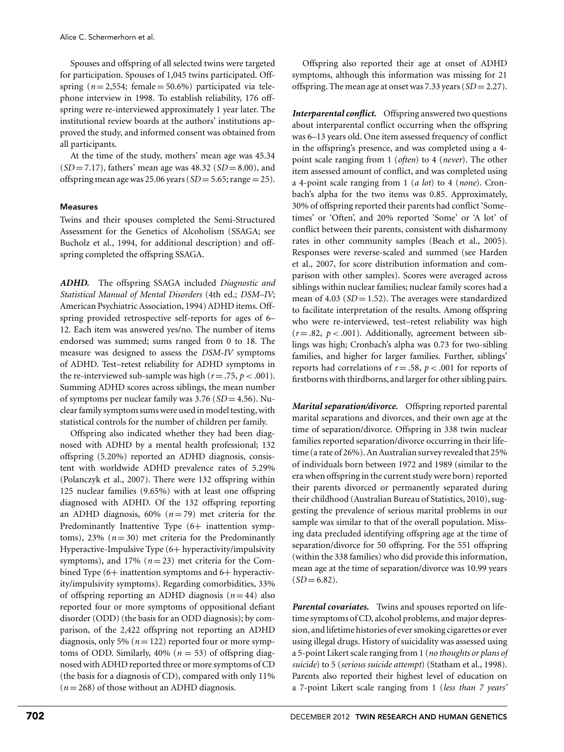Spouses and offspring of all selected twins were targeted for participation. Spouses of 1,045 twins participated. Offspring  $(n=2,554;$  female  $= 50.6\%)$  participated via telephone interview in 1998. To establish reliability, 176 offspring were re-interviewed approximately 1 year later. The institutional review boards at the authors' institutions approved the study, and informed consent was obtained from all participants.

At the time of the study, mothers' mean age was 45.34  $(SD = 7.17)$ , fathers' mean age was 48.32 (*SD* = 8.00), and offspring mean age was 25.06 years ( $SD = 5.65$ ; range = 25).

# Measures

Twins and their spouses completed the Semi-Structured Assessment for the Genetics of Alcoholism (SSAGA; see Bucholz et al., 1994, for additional description) and offspring completed the offspring SSAGA.

*ADHD.* The offspring SSAGA included *Diagnostic and Statistical Manual of Mental Disorders* (4th ed.; *DSM–IV*; American Psychiatric Association, 1994) ADHD items. Offspring provided retrospective self-reports for ages of 6– 12. Each item was answered yes/no. The number of items endorsed was summed; sums ranged from 0 to 18. The measure was designed to assess the *DSM-IV* symptoms of ADHD. Test–retest reliability for ADHD symptoms in the re-interviewed sub-sample was high ( $r = .75$ ,  $p < .001$ ). Summing ADHD scores across siblings, the mean number of symptoms per nuclear family was 3.76 (*SD* = 4.56). Nuclear family symptom sums were used in model testing, with statistical controls for the number of children per family.

Offspring also indicated whether they had been diagnosed with ADHD by a mental health professional; 132 offspring (5.20%) reported an ADHD diagnosis, consistent with worldwide ADHD prevalence rates of 5.29% (Polanczyk et al., 2007). There were 132 offspring within 125 nuclear families (9.65%) with at least one offspring diagnosed with ADHD. Of the 132 offspring reporting an ADHD diagnosis,  $60\%$  ( $n = 79$ ) met criteria for the Predominantly Inattentive Type (6+ inattention symptoms),  $23\%$  ( $n = 30$ ) met criteria for the Predominantly Hyperactive-Impulsive Type (6+ hyperactivity/impulsivity symptoms), and 17%  $(n=23)$  met criteria for the Combined Type (6+ inattention symptoms and 6+ hyperactivity/impulsivity symptoms). Regarding comorbidities, 33% of offspring reporting an ADHD diagnosis  $(n=44)$  also reported four or more symptoms of oppositional defiant disorder (ODD) (the basis for an ODD diagnosis); by comparison, of the 2,422 offspring not reporting an ADHD diagnosis, only 5% ( $n = 122$ ) reported four or more symptoms of ODD. Similarly,  $40\%$  ( $n = 53$ ) of offspring diagnosed with ADHD reported three or more symptoms of CD (the basis for a diagnosis of CD), compared with only 11%  $(n=268)$  of those without an ADHD diagnosis.

Offspring also reported their age at onset of ADHD symptoms, although this information was missing for 21 offspring. The mean age at onset was 7.33 years (*SD* = 2.27).

*Interparental conflict.* Offspring answered two questions about interparental conflict occurring when the offspring was 6–13 years old. One item assessed frequency of conflict in the offspring's presence, and was completed using a 4 point scale ranging from 1 (*often*) to 4 (*never*). The other item assessed amount of conflict, and was completed using a 4-point scale ranging from 1 (*a lot*) to 4 (*none*). Cronbach's alpha for the two items was 0.85. Approximately, 30% of offspring reported their parents had conflict 'Sometimes' or 'Often', and 20% reported 'Some' or 'A lot' of conflict between their parents, consistent with disharmony rates in other community samples (Beach et al., 2005). Responses were reverse-scaled and summed (see Harden et al., 2007, for score distribution information and comparison with other samples). Scores were averaged across siblings within nuclear families; nuclear family scores had a mean of 4.03 (*SD* = 1.52). The averages were standardized to facilitate interpretation of the results. Among offspring who were re-interviewed, test–retest reliability was high  $(r=.82, p<.001)$ . Additionally, agreement between siblings was high; Cronbach's alpha was 0.73 for two-sibling families, and higher for larger families. Further, siblings' reports had correlations of  $r = .58$ ,  $p < .001$  for reports of firstborns with thirdborns, and larger for other sibling pairs.

*Marital separation/divorce.* Offspring reported parental marital separations and divorces, and their own age at the time of separation/divorce. Offspring in 338 twin nuclear families reported separation/divorce occurring in their lifetime (a rate of 26%). An Australian survey revealed that 25% of individuals born between 1972 and 1989 (similar to the era when offspring in the current study were born) reported their parents divorced or permanently separated during their childhood (Australian Bureau of Statistics, 2010), suggesting the prevalence of serious marital problems in our sample was similar to that of the overall population. Missing data precluded identifying offspring age at the time of separation/divorce for 50 offspring. For the 551 offspring (within the 338 families) who did provide this information, mean age at the time of separation/divorce was 10.99 years  $(SD = 6.82)$ .

*Parental covariates.* Twins and spouses reported on lifetime symptoms of CD, alcohol problems, and major depression, and lifetime histories of ever smoking cigarettes or ever using illegal drugs. History of suicidality was assessed using a 5-point Likert scale ranging from 1 (*no thoughts or plans of suicide*) to 5 (*serious suicide attempt*) (Statham et al., 1998). Parents also reported their highest level of education on a 7-point Likert scale ranging from 1 (*less than 7 years'*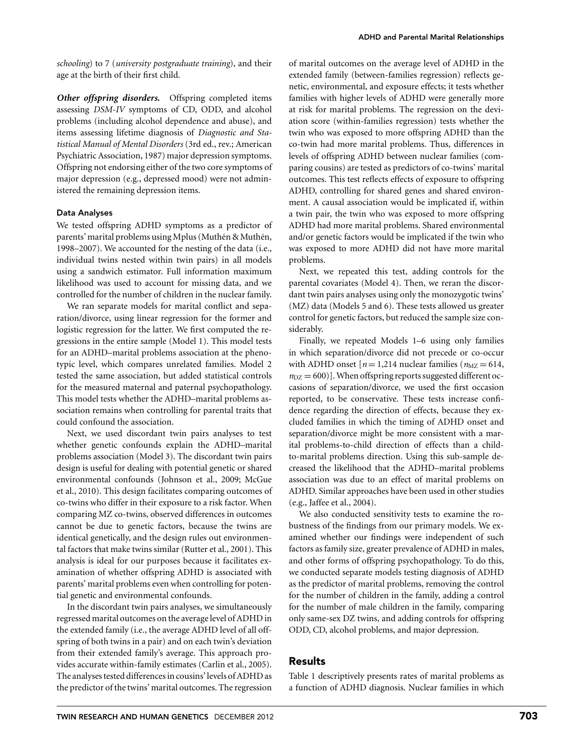*schooling*) to 7 (*university postgraduate training*), and their age at the birth of their first child.

*Other offspring disorders.* Offspring completed items assessing *DSM-IV* symptoms of CD, ODD, and alcohol problems (including alcohol dependence and abuse), and items assessing lifetime diagnosis of *Diagnostic and Statistical Manual of Mental Disorders* (3rd ed., rev.; American Psychiatric Association, 1987) major depression symptoms. Offspring not endorsing either of the two core symptoms of major depression (e.g., depressed mood) were not administered the remaining depression items.

# Data Analyses

We tested offspring ADHD symptoms as a predictor of parents' marital problems using Mplus (Muthén & Muthén, 1998–2007). We accounted for the nesting of the data (i.e., individual twins nested within twin pairs) in all models using a sandwich estimator. Full information maximum likelihood was used to account for missing data, and we controlled for the number of children in the nuclear family.

We ran separate models for marital conflict and separation/divorce, using linear regression for the former and logistic regression for the latter. We first computed the regressions in the entire sample (Model 1). This model tests for an ADHD–marital problems association at the phenotypic level, which compares unrelated families. Model 2 tested the same association, but added statistical controls for the measured maternal and paternal psychopathology. This model tests whether the ADHD–marital problems association remains when controlling for parental traits that could confound the association.

Next, we used discordant twin pairs analyses to test whether genetic confounds explain the ADHD–marital problems association (Model 3). The discordant twin pairs design is useful for dealing with potential genetic or shared environmental confounds (Johnson et al., 2009; McGue et al., 2010). This design facilitates comparing outcomes of co-twins who differ in their exposure to a risk factor. When comparing MZ co-twins, observed differences in outcomes cannot be due to genetic factors, because the twins are identical genetically, and the design rules out environmental factors that make twins similar (Rutter et al., 2001). This analysis is ideal for our purposes because it facilitates examination of whether offspring ADHD is associated with parents' marital problems even when controlling for potential genetic and environmental confounds.

In the discordant twin pairs analyses, we simultaneously regressed marital outcomes on the average level of ADHD in the extended family (i.e., the average ADHD level of all offspring of both twins in a pair) and on each twin's deviation from their extended family's average. This approach provides accurate within-family estimates (Carlin et al., 2005). The analyses tested differences in cousins' levels of ADHD as the predictor of the twins' marital outcomes. The regression of marital outcomes on the average level of ADHD in the extended family (between-families regression) reflects genetic, environmental, and exposure effects; it tests whether families with higher levels of ADHD were generally more at risk for marital problems. The regression on the deviation score (within-families regression) tests whether the twin who was exposed to more offspring ADHD than the co-twin had more marital problems. Thus, differences in levels of offspring ADHD between nuclear families (comparing cousins) are tested as predictors of co-twins' marital outcomes. This test reflects effects of exposure to offspring ADHD, controlling for shared genes and shared environment. A causal association would be implicated if, within a twin pair, the twin who was exposed to more offspring ADHD had more marital problems. Shared environmental and/or genetic factors would be implicated if the twin who was exposed to more ADHD did not have more marital problems.

Next, we repeated this test, adding controls for the parental covariates (Model 4). Then, we reran the discordant twin pairs analyses using only the monozygotic twins' (MZ) data (Models 5 and 6). These tests allowed us greater control for genetic factors, but reduced the sample size considerably.

Finally, we repeated Models 1–6 using only families in which separation/divorce did not precede or co-occur with ADHD onset  $[n = 1,214$  nuclear families  $(n_{\text{MZ}} = 614,$  $n_{\text{DZ}} = 600$ ). When offspring reports suggested different occasions of separation/divorce, we used the first occasion reported, to be conservative. These tests increase confidence regarding the direction of effects, because they excluded families in which the timing of ADHD onset and separation/divorce might be more consistent with a marital problems-to-child direction of effects than a childto-marital problems direction. Using this sub-sample decreased the likelihood that the ADHD–marital problems association was due to an effect of marital problems on ADHD. Similar approaches have been used in other studies (e.g., Jaffee et al., 2004).

We also conducted sensitivity tests to examine the robustness of the findings from our primary models. We examined whether our findings were independent of such factors as family size, greater prevalence of ADHD in males, and other forms of offspring psychopathology. To do this, we conducted separate models testing diagnosis of ADHD as the predictor of marital problems, removing the control for the number of children in the family, adding a control for the number of male children in the family, comparing only same-sex DZ twins, and adding controls for offspring ODD, CD, alcohol problems, and major depression.

# Results

Table 1 descriptively presents rates of marital problems as a function of ADHD diagnosis. Nuclear families in which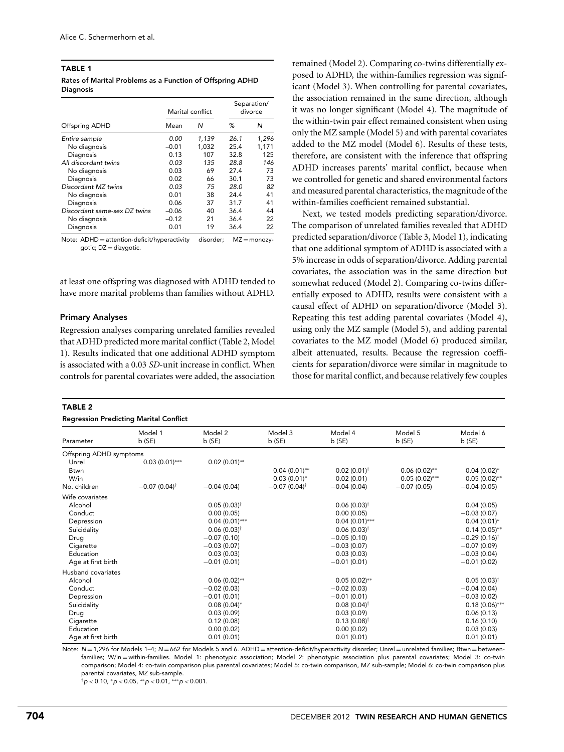| <b>TABLE 1</b>                                            |  |
|-----------------------------------------------------------|--|
| Rates of Marital Problems as a Function of Offspring ADHD |  |
| <b>Diagnosis</b>                                          |  |

|                              |         | Marital conflict | Separation/<br>divorce |       |
|------------------------------|---------|------------------|------------------------|-------|
| Offspring ADHD               | Mean    | N                | %                      | N     |
| Entire sample                | 0.00    | 1.139            | 26.1                   | 1,296 |
| No diagnosis                 | $-0.01$ | 1.032            | 25.4                   | 1,171 |
| Diagnosis                    | 0.13    | 107              | 32.8                   | 125   |
| All discordant twins         | 0.03    | 135              | 28.8                   | 146   |
| No diagnosis                 | 0.03    | 69               | 27.4                   | 73    |
| Diagnosis                    | 0.02    | 66               | 30.1                   | 73    |
| Discordant MZ twins          | 0.03    | 75               | 28.0                   | 82    |
| No diagnosis                 | 0.01    | 38               | 24.4                   | 41    |
| Diagnosis                    | 0.06    | 37               | 31.7                   | 41    |
| Discordant same-sex DZ twins | $-0.06$ | 40               | 36.4                   | 44    |
| No diagnosis                 | $-0.12$ | 21               | 36.4                   | 22    |
| Diagnosis                    | 0.01    | 19               | 36.4                   | 22    |

Note: ADHD = attention-deficit/hyperactivity disorder; MZ = monozygotic; DZ = dizygotic.

at least one offspring was diagnosed with ADHD tended to have more marital problems than families without ADHD.

#### Primary Analyses

Regression analyses comparing unrelated families revealed that ADHD predicted more marital conflict (Table 2, Model 1). Results indicated that one additional ADHD symptom is associated with a 0.03 *SD*-unit increase in conflict. When controls for parental covariates were added, the association

#### TABLE 2

#### Regression Predicting Marital Conflict

remained (Model 2). Comparing co-twins differentially exposed to ADHD, the within-families regression was significant (Model 3). When controlling for parental covariates, the association remained in the same direction, although it was no longer significant (Model 4). The magnitude of the within-twin pair effect remained consistent when using only the MZ sample (Model 5) and with parental covariates added to the MZ model (Model 6). Results of these tests, therefore, are consistent with the inference that offspring ADHD increases parents' marital conflict, because when we controlled for genetic and shared environmental factors and measured parental characteristics, the magnitude of the within-families coefficient remained substantial.

Next, we tested models predicting separation/divorce. The comparison of unrelated families revealed that ADHD predicted separation/divorce (Table 3, Model 1), indicating that one additional symptom of ADHD is associated with a 5% increase in odds of separation/divorce. Adding parental covariates, the association was in the same direction but somewhat reduced (Model 2). Comparing co-twins differentially exposed to ADHD, results were consistent with a causal effect of ADHD on separation/divorce (Model 3). Repeating this test adding parental covariates (Model 4), using only the MZ sample (Model 5), and adding parental covariates to the MZ model (Model 6) produced similar, albeit attenuated, results. Because the regression coefficients for separation/divorce were similar in magnitude to those for marital conflict, and because relatively few couples

|                         | Regression Fredicting Marital Commet |                           |                         |                           |                  |                         |
|-------------------------|--------------------------------------|---------------------------|-------------------------|---------------------------|------------------|-------------------------|
| Parameter               | Model 1<br>b(SE)                     | Model 2<br>b(SE)          | Model 3<br>b(SE)        | Model 4<br>b(SE)          | Model 5<br>b(SE) | Model 6<br>b(SE)        |
| Offspring ADHD symptoms |                                      |                           |                         |                           |                  |                         |
| Unrel                   | $0.03(0.01)$ ***                     | $0.02(0.01)$ **           |                         |                           |                  |                         |
| <b>Btwn</b>             |                                      |                           | $0.04(0.01)$ **         | $0.02(0.01)^{\dagger}$    | $0.06(0.02)$ **  | $0.04(0.02)$ *          |
| W/in                    |                                      |                           | $0.03(0.01)*$           | 0.02(0.01)                | $0.05(0.02)$ *** | $0.05(0.02)$ **         |
| No. children            | $-0.07(0.04)^{\dagger}$              | $-0.04(0.04)$             | $-0.07(0.04)^{\dagger}$ | $-0.04(0.04)$             | $-0.07(0.05)$    | $-0.04(0.05)$           |
| Wife covariates         |                                      |                           |                         |                           |                  |                         |
| Alcohol                 |                                      | $0.05(0.03)^{\dagger}$    |                         | $0.06(0.03)$ <sup>†</sup> |                  | 0.04(0.05)              |
| Conduct                 |                                      | 0.00(0.05)                |                         | 0.00(0.05)                |                  | $-0.03(0.07)$           |
| Depression              |                                      | $0.04(0.01)$ ***          |                         | $0.04(0.01)$ ***          |                  | $0.04(0.01)$ *          |
| Suicidality             |                                      | $0.06(0.03)$ <sup>†</sup> |                         | $0.06(0.03)$ <sup>†</sup> |                  | $0.14(0.05)$ **         |
| Drug                    |                                      | $-0.07(0.10)$             |                         | $-0.05(0.10)$             |                  | $-0.29(0.16)^{\dagger}$ |
| Cigarette               |                                      | $-0.03(0.07)$             |                         | $-0.03(0.07)$             |                  | $-0.07(0.09)$           |
| Education               |                                      | 0.03(0.03)                |                         | 0.03(0.03)                |                  | $-0.03(0.04)$           |
| Age at first birth      |                                      | $-0.01(0.01)$             |                         | $-0.01(0.01)$             |                  | $-0.01(0.02)$           |
| Husband covariates      |                                      |                           |                         |                           |                  |                         |
| Alcohol                 |                                      | $0.06(0.02)$ **           |                         | $0.05(0.02)$ **           |                  | $0.05(0.03)^{\dagger}$  |
| Conduct                 |                                      | $-0.02(0.03)$             |                         | $-0.02(0.03)$             |                  | $-0.04(0.04)$           |
| Depression              |                                      | $-0.01(0.01)$             |                         | $-0.01(0.01)$             |                  | $-0.03(0.02)$           |
| Suicidality             |                                      | $0.08(0.04)$ *            |                         | $0.08(0.04)^{\dagger}$    |                  | $0.18(0.06)$ ***        |
| Drug                    |                                      | 0.03(0.09)                |                         | 0.03(0.09)                |                  | 0.06(0.13)              |
| Cigarette               |                                      | 0.12(0.08)                |                         | $0.13(0.08)$ <sup>†</sup> |                  | 0.16(0.10)              |
| Education               |                                      | 0.00(0.02)                |                         | 0.00(0.02)                |                  | 0.03(0.03)              |
| Age at first birth      |                                      | 0.01(0.01)                |                         | 0.01(0.01)                |                  | 0.01(0.01)              |

Note: N = 1,296 for Models 1-4; N = 662 for Models 5 and 6. ADHD = attention-deficit/hyperactivity disorder; Unrel = unrelated families; Btwn = betweenfamilies; W/in = within-families. Model 1: phenotypic association; Model 2: phenotypic association plus parental covariates; Model 3: co-twin comparison; Model 4: co-twin comparison plus parental covariates; Model 5: co-twin comparison, MZ sub-sample; Model 6: co-twin comparison plus parental covariates, MZ sub-sample.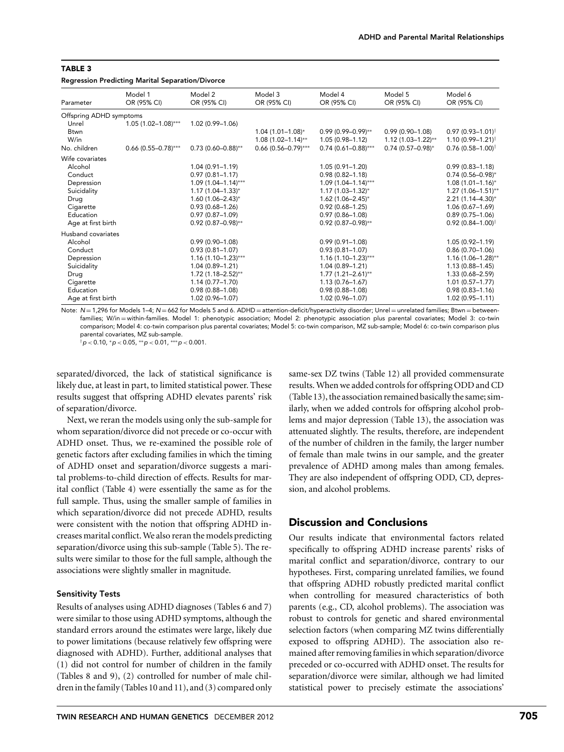#### Regression Predicting Marital Separation/Divorce

| Model 3<br>OR (95% CI)  | Model 4<br>OR (95% CI)                                                                                                                                                                                                                                                                                                                                                                                                                     | Model 5<br>OR (95% CI) | Model 6<br>OR (95% CI)        |
|-------------------------|--------------------------------------------------------------------------------------------------------------------------------------------------------------------------------------------------------------------------------------------------------------------------------------------------------------------------------------------------------------------------------------------------------------------------------------------|------------------------|-------------------------------|
|                         |                                                                                                                                                                                                                                                                                                                                                                                                                                            |                        |                               |
|                         |                                                                                                                                                                                                                                                                                                                                                                                                                                            |                        |                               |
| $1.04(1.01 - 1.08)^{*}$ | $0.99(0.99 - 0.99)^{**}$                                                                                                                                                                                                                                                                                                                                                                                                                   | $0.99(0.90 - 1.08)$    | $0.97(0.93 - 1.01)^{\dagger}$ |
| $1.08(1.02 - 1.14)$ **  | $1.05(0.98 - 1.12)$                                                                                                                                                                                                                                                                                                                                                                                                                        | $1.12(1.03 - 1.22)$ ** | $1.10(0.99 - 1.21)^{\dagger}$ |
|                         | $0.74(0.61 - 0.88)$ ***                                                                                                                                                                                                                                                                                                                                                                                                                    | $0.74(0.57-0.98)^{*}$  | $0.76(0.58 - 1.00)^{\dagger}$ |
|                         |                                                                                                                                                                                                                                                                                                                                                                                                                                            |                        |                               |
|                         | $1.05(0.91 - 1.20)$                                                                                                                                                                                                                                                                                                                                                                                                                        |                        | $0.99(0.83 - 1.18)$           |
|                         | $0.98(0.82 - 1.18)$                                                                                                                                                                                                                                                                                                                                                                                                                        |                        | $0.74(0.56 - 0.98)^{*}$       |
|                         | $1.09(1.04 - 1.14)$ ***                                                                                                                                                                                                                                                                                                                                                                                                                    |                        | $1.08(1.01 - 1.16)^{*}$       |
|                         | $1.17(1.03 - 1.32)^{*}$                                                                                                                                                                                                                                                                                                                                                                                                                    |                        | $1.27(1.06 - 1.51)$ **        |
|                         | $1.62(1.06 - 2.45)^{*}$                                                                                                                                                                                                                                                                                                                                                                                                                    |                        | $2.21(1.14 - 4.30)^{*}$       |
|                         | $0.92(0.68 - 1.25)$                                                                                                                                                                                                                                                                                                                                                                                                                        |                        | $1.06(0.67 - 1.69)$           |
|                         | $0.97(0.86 - 1.08)$                                                                                                                                                                                                                                                                                                                                                                                                                        |                        | $0.89(0.75 - 1.06)$           |
|                         | $0.92(0.87 - 0.98)$ **                                                                                                                                                                                                                                                                                                                                                                                                                     |                        | $0.92(0.84 - 1.00)^{\dagger}$ |
|                         |                                                                                                                                                                                                                                                                                                                                                                                                                                            |                        |                               |
|                         | $0.99(0.91 - 1.08)$                                                                                                                                                                                                                                                                                                                                                                                                                        |                        | $1.05(0.92 - 1.19)$           |
|                         | $0.93(0.81 - 1.07)$                                                                                                                                                                                                                                                                                                                                                                                                                        |                        | $0.86(0.70-1.06)$             |
|                         | $1.16(1.10-1.23)***$                                                                                                                                                                                                                                                                                                                                                                                                                       |                        | $1.16(1.06 - 1.28)$ **        |
|                         | $1.04(0.89 - 1.21)$                                                                                                                                                                                                                                                                                                                                                                                                                        |                        | $1.13(0.88 - 1.45)$           |
|                         | $1.77(1.21 - 2.61)$ **                                                                                                                                                                                                                                                                                                                                                                                                                     |                        | 1.33 (0.68-2.59)              |
|                         | $1.13(0.76 - 1.67)$                                                                                                                                                                                                                                                                                                                                                                                                                        |                        | $1.01(0.57 - 1.77)$           |
|                         | $0.98(0.88 - 1.08)$                                                                                                                                                                                                                                                                                                                                                                                                                        |                        | $0.98(0.83 - 1.16)$           |
|                         | $1.02(0.96 - 1.07)$                                                                                                                                                                                                                                                                                                                                                                                                                        |                        | $1.02(0.95 - 1.11)$           |
|                         | 1.02 (0.99-1.06)<br>$0.73(0.60 - 0.88)$ **<br>$1.04(0.91 - 1.19)$<br>$0.97(0.81 - 1.17)$<br>$1.09(1.04 - 1.14)$ ***<br>$1.17(1.04 - 1.33)^{*}$<br>$1.60(1.06 - 2.43)^{*}$<br>$0.93(0.68 - 1.26)$<br>$0.97(0.87 - 1.09)$<br>$0.92(0.87 - 0.98)$ **<br>$0.99(0.90 - 1.08)$<br>$0.93(0.81 - 1.07)$<br>$1.16(1.10-1.23)***$<br>$1.04(0.89 - 1.21)$<br>$1.72(1.18 - 2.52)$ **<br>$1.14(0.77 - 1.70)$<br>$0.98(0.88 - 1.08)$<br>1.02 (0.96-1.07) | $0.66$ (0.56-0.79)***  |                               |

Note: N = 1,296 for Models 1-4; N = 662 for Models 5 and 6. ADHD = attention-deficit/hyperactivity disorder; Unrel = unrelated families; Btwn = betweenfamilies; W/in = within-families. Model 1: phenotypic association; Model 2: phenotypic association plus parental covariates; Model 3: co-twin comparison; Model 4: co-twin comparison plus parental covariates; Model 5: co-twin comparison, MZ sub-sample; Model 6: co-twin comparison plus parental covariates, MZ sub-sample.

†p *<* 0.10, <sup>∗</sup>p *<* 0.05, ∗∗p *<* 0.01, ∗∗∗p *<* 0.001.

separated/divorced, the lack of statistical significance is likely due, at least in part, to limited statistical power. These results suggest that offspring ADHD elevates parents' risk of separation/divorce.

Next, we reran the models using only the sub-sample for whom separation/divorce did not precede or co-occur with ADHD onset. Thus, we re-examined the possible role of genetic factors after excluding families in which the timing of ADHD onset and separation/divorce suggests a marital problems-to-child direction of effects. Results for marital conflict (Table 4) were essentially the same as for the full sample. Thus, using the smaller sample of families in which separation/divorce did not precede ADHD, results were consistent with the notion that offspring ADHD increases marital conflict. We also reran the models predicting separation/divorce using this sub-sample (Table 5). The results were similar to those for the full sample, although the associations were slightly smaller in magnitude.

# Sensitivity Tests

Results of analyses using ADHD diagnoses (Tables 6 and 7) were similar to those using ADHD symptoms, although the standard errors around the estimates were large, likely due to power limitations (because relatively few offspring were diagnosed with ADHD). Further, additional analyses that (1) did not control for number of children in the family (Tables 8 and 9), (2) controlled for number of male children in the family (Tables 10 and 11), and (3) compared only

same-sex DZ twins (Table 12) all provided commensurate results. When we added controls for offspring ODD and CD (Table 13), the association remained basically the same; similarly, when we added controls for offspring alcohol problems and major depression (Table 13), the association was attenuated slightly. The results, therefore, are independent of the number of children in the family, the larger number of female than male twins in our sample, and the greater prevalence of ADHD among males than among females. They are also independent of offspring ODD, CD, depression, and alcohol problems.

# Discussion and Conclusions

Our results indicate that environmental factors related specifically to offspring ADHD increase parents' risks of marital conflict and separation/divorce, contrary to our hypotheses. First, comparing unrelated families, we found that offspring ADHD robustly predicted marital conflict when controlling for measured characteristics of both parents (e.g., CD, alcohol problems). The association was robust to controls for genetic and shared environmental selection factors (when comparing MZ twins differentially exposed to offspring ADHD). The association also remained after removing families in which separation/divorce preceded or co-occurred with ADHD onset. The results for separation/divorce were similar, although we had limited statistical power to precisely estimate the associations'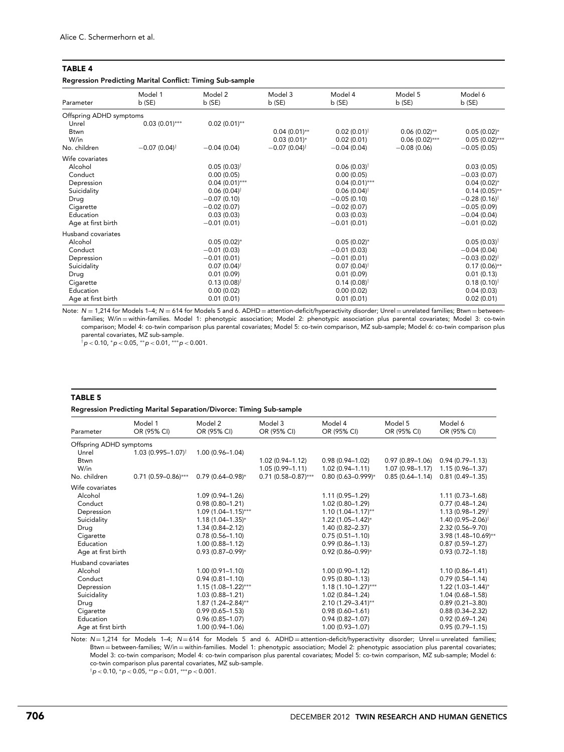### Regression Predicting Marital Conflict: Timing Sub-sample

|                         | Model 1                 | Model 2                   | Model 3                    | Model 4                | Model 5          | Model 6                 |
|-------------------------|-------------------------|---------------------------|----------------------------|------------------------|------------------|-------------------------|
| Parameter               | b(SE)                   | b(SE)                     | b(SE)                      | b(SE)                  | $b$ (SE)         | b(SE)                   |
| Offspring ADHD symptoms |                         |                           |                            |                        |                  |                         |
| Unrel                   | $0.03(0.01)$ ***        | $0.02(0.01)$ **           |                            |                        |                  |                         |
| Btwn                    |                         |                           | $0.04(0.01)$ **            | $0.02(0.01)^{\dagger}$ | $0.06(0.02)$ **  | $0.05(0.02)$ *          |
| W/in                    |                         |                           | $0.03(0.01)^*$             | 0.02(0.01)             | $0.06(0.02)$ *** | $0.05(0.02)$ ***        |
| No. children            | $-0.07(0.04)^{\dagger}$ | $-0.04(0.04)$             | $-0.07(0.04)$ <sup>†</sup> | $-0.04(0.04)$          | $-0.08(0.06)$    | $-0.05(0.05)$           |
| Wife covariates         |                         |                           |                            |                        |                  |                         |
| Alcohol                 |                         | $0.05(0.03)^{\dagger}$    |                            | $0.06(0.03)^{\dagger}$ |                  | 0.03(0.05)              |
| Conduct                 |                         | 0.00(0.05)                |                            | 0.00(0.05)             |                  | $-0.03(0.07)$           |
| Depression              |                         | $0.04(0.01)$ ***          |                            | $0.04(0.01)$ ***       |                  | $0.04(0.02)$ *          |
| Suicidality             |                         | $0.06(0.04)$ <sup>†</sup> |                            | $0.06(0.04)^{\dagger}$ |                  | $0.14(0.05)$ **         |
| Drug                    |                         | $-0.07(0.10)$             |                            | $-0.05(0.10)$          |                  | $-0.28(0.16)^{\dagger}$ |
| Cigarette               |                         | $-0.02(0.07)$             |                            | $-0.02(0.07)$          |                  | $-0.05(0.09)$           |
| Education               |                         | 0.03(0.03)                |                            | 0.03(0.03)             |                  | $-0.04(0.04)$           |
| Age at first birth      |                         | $-0.01(0.01)$             |                            | $-0.01(0.01)$          |                  | $-0.01(0.02)$           |
| Husband covariates      |                         |                           |                            |                        |                  |                         |
| Alcohol                 |                         | $0.05(0.02)$ *            |                            | $0.05(0.02)$ *         |                  | $0.05(0.03)^{\dagger}$  |
| Conduct                 |                         | $-0.01(0.03)$             |                            | $-0.01(0.03)$          |                  | $-0.04(0.04)$           |
| Depression              |                         | $-0.01(0.01)$             |                            | $-0.01(0.01)$          |                  | $-0.03(0.02)^{\dagger}$ |
| Suicidality             |                         | $0.07(0.04)^{\dagger}$    |                            | $0.07(0.04)^{\dagger}$ |                  | $0.17(0.06)$ **         |
| Drug                    |                         | 0.01(0.09)                |                            | 0.01(0.09)             |                  | 0.01(0.13)              |
| Cigarette               |                         | $0.13(0.08)^{\dagger}$    |                            | $0.14(0.08)^{\dagger}$ |                  | $0.18(0.10)^{\dagger}$  |
| Education               |                         | 0.00(0.02)                |                            | 0.00(0.02)             |                  | 0.04(0.03)              |
| Age at first birth      |                         | 0.01(0.01)                |                            | 0.01(0.01)             |                  | 0.02(0.01)              |

Note: N = 1,214 for Models 1-4; N = 614 for Models 5 and 6. ADHD = attention-deficit/hyperactivity disorder; Unrel = unrelated families; Btwn = betweenfamilies; W/in = within-families. Model 1: phenotypic association; Model 2: phenotypic association plus parental covariates; Model 3: co-twin comparison; Model 4: co-twin comparison plus parental covariates; Model 5: co-twin comparison, MZ sub-sample; Model 6: co-twin comparison plus parental covariates, MZ sub-sample.

†p *<* 0.10, <sup>∗</sup>p *<* 0.05, ∗∗p *<* 0.01, ∗∗∗p *<* 0.001.

#### TABLE 5

# Regression Predicting Marital Separation/Divorce: Timing Sub-sample

| Model 1<br>OR (95% CI)         | Model 2<br>OR (95% CI)  | Model 3<br>OR (95% CI)  | Model 4<br>OR (95% CI)   | Model 5<br>OR (95% CI) | Model 6<br>OR (95% CI)           |
|--------------------------------|-------------------------|-------------------------|--------------------------|------------------------|----------------------------------|
| Offspring ADHD symptoms        |                         |                         |                          |                        |                                  |
| $1.03(0.995 - 1.07)^{\dagger}$ | $1.00(0.96 - 1.04)$     |                         |                          |                        |                                  |
|                                |                         | $1.02(0.94 - 1.12)$     | $0.98(0.94 - 1.02)$      | $0.97(0.89 - 1.06)$    | $0.94(0.79 - 1.13)$              |
|                                |                         | $1.05(0.99 - 1.11)$     | $1.02(0.94 - 1.11)$      | $1.07(0.98 - 1.17)$    | $1.15(0.96 - 1.37)$              |
| $0.71(0.59 - 0.86)$ ***        | $0.79(0.64 - 0.98)^{*}$ | $0.71(0.58 - 0.87)$ *** | $0.80(0.63 - 0.999)^{*}$ | $0.85(0.64 - 1.14)$    | $0.81(0.49 - 1.35)$              |
|                                |                         |                         |                          |                        |                                  |
|                                | 1.09 (0.94-1.26)        |                         | $1.11(0.95 - 1.29)$      |                        | $1.11(0.73 - 1.68)$              |
|                                | $0.98(0.80 - 1.21)$     |                         | $1.02(0.80 - 1.29)$      |                        | $0.77(0.48 - 1.24)$              |
|                                | $1.09(1.04 - 1.15)$ *** |                         | $1.10(1.04 - 1.17)$ **   |                        | $1.13(0.98 - 1.29)$ <sup>†</sup> |
|                                | $1.18(1.04 - 1.35)^{*}$ |                         | $1.22(1.05 - 1.42)^{*}$  |                        | $1.40(0.95 - 2.06)^{\dagger}$    |
|                                | $1.34(0.84 - 2.12)$     |                         | 1.40 (0.82-2.37)         |                        | $2.32(0.56 - 9.70)$              |
|                                | $0.78(0.56 - 1.10)$     |                         | $0.75(0.51 - 1.10)$      |                        | $3.98(1.48 - 10.69)$ **          |
|                                | $1.00(0.88 - 1.12)$     |                         | $0.99(0.86 - 1.13)$      |                        | $0.87(0.59 - 1.27)$              |
|                                | $0.93(0.87 - 0.99)^{*}$ |                         | $0.92(0.86 - 0.99)^{*}$  |                        | $0.93(0.72 - 1.18)$              |
| Husband covariates             |                         |                         |                          |                        |                                  |
|                                | $1.00(0.91 - 1.10)$     |                         | $1.00(0.90 - 1.12)$      |                        | $1.10(0.86 - 1.41)$              |
|                                | $0.94(0.81 - 1.10)$     |                         | $0.95(0.80 - 1.13)$      |                        | $0.79(0.54 - 1.14)$              |
|                                | $1.15(1.08 - 1.22)$ *** |                         | $1.18(1.10 - 1.27)$ ***  |                        | $1.22(1.03 - 1.44)^{*}$          |
|                                | $1.03(0.88 - 1.21)$     |                         | $1.02(0.84 - 1.24)$      |                        | $1.04(0.68 - 1.58)$              |
|                                | $1.87(1.24 - 2.84)$ **  |                         | $2.10(1.29 - 3.41)$ **   |                        | $0.89(0.21 - 3.80)$              |
|                                | $0.99(0.65 - 1.53)$     |                         | $0.98(0.60 - 1.61)$      |                        | $0.88(0.34 - 2.32)$              |
|                                | $0.96(0.85 - 1.07)$     |                         | $0.94(0.82 - 1.07)$      |                        | $0.92(0.69 - 1.24)$              |
|                                | 1.00 (0.94-1.06)        |                         | $1.00(0.93 - 1.07)$      |                        | $0.95(0.79 - 1.15)$              |
|                                |                         |                         |                          |                        |                                  |

Note:  $N=1,214$  for Models 1–4;  $N=614$  for Models 5 and 6. ADHD = attention-deficit/hyperactivity disorder; Unrel = unrelated families; Btwn = between-families; W/in = within-families. Model 1: phenotypic association; Model 2: phenotypic association plus parental covariates; Model 3: co-twin comparison; Model 4: co-twin comparison plus parental covariates; Model 5: co-twin comparison, MZ sub-sample; Model 6: co-twin comparison plus parental covariates, MZ sub-sample.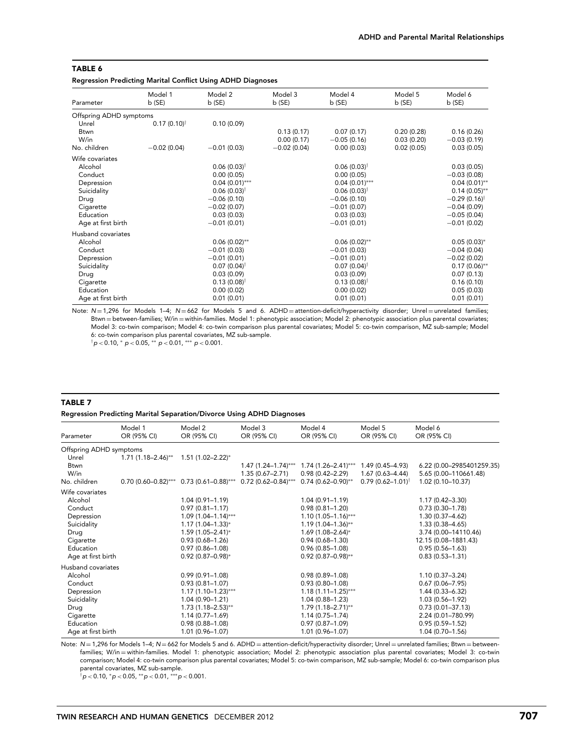Regression Predicting Marital Conflict Using ADHD Diagnoses

|                         | Model 1                | Model 2                   | Model 3       | Model 4                   | Model 5    | Model 6                 |
|-------------------------|------------------------|---------------------------|---------------|---------------------------|------------|-------------------------|
| Parameter               | b(SE)                  | b(SE)                     | b (SE)        | b (SE)                    | b(SE)      | b (SE)                  |
| Offspring ADHD symptoms |                        |                           |               |                           |            |                         |
| Unrel                   | $0.17(0.10)^{\dagger}$ | 0.10(0.09)                |               |                           |            |                         |
| <b>Btwn</b>             |                        |                           | 0.13(0.17)    | 0.07(0.17)                | 0.20(0.28) | 0.16(0.26)              |
| W/in                    |                        |                           | 0.00(0.17)    | $-0.05(0.16)$             | 0.03(0.20) | $-0.03(0.19)$           |
| No. children            | $-0.02(0.04)$          | $-0.01(0.03)$             | $-0.02(0.04)$ | 0.00(0.03)                | 0.02(0.05) | 0.03(0.05)              |
| Wife covariates         |                        |                           |               |                           |            |                         |
| Alcohol                 |                        | $0.06(0.03)^{\dagger}$    |               | $0.06(0.03)^{\dagger}$    |            | 0.03(0.05)              |
| Conduct                 |                        | 0.00(0.05)                |               | 0.00(0.05)                |            | $-0.03(0.08)$           |
| Depression              |                        | $0.04(0.01)$ ***          |               | $0.04(0.01)$ ***          |            | $0.04(0.01)$ **         |
| Suicidality             |                        | $0.06(0.03)$ <sup>†</sup> |               | $0.06(0.03)$ <sup>†</sup> |            | $0.14(0.05)$ **         |
| Drug                    |                        | $-0.06(0.10)$             |               | $-0.06(0.10)$             |            | $-0.29(0.16)^{\dagger}$ |
| Cigarette               |                        | $-0.02(0.07)$             |               | $-0.01(0.07)$             |            | $-0.04(0.09)$           |
| Education               |                        | 0.03(0.03)                |               | 0.03(0.03)                |            | $-0.05(0.04)$           |
| Age at first birth      |                        | $-0.01(0.01)$             |               | $-0.01(0.01)$             |            | $-0.01(0.02)$           |
| Husband covariates      |                        |                           |               |                           |            |                         |
| Alcohol                 |                        | $0.06(0.02)$ **           |               | $0.06(0.02)$ **           |            | $0.05(0.03)*$           |
| Conduct                 |                        | $-0.01(0.03)$             |               | $-0.01(0.03)$             |            | $-0.04(0.04)$           |
| Depression              |                        | $-0.01(0.01)$             |               | $-0.01(0.01)$             |            | $-0.02(0.02)$           |
| Suicidality             |                        | $0.07(0.04)^{\dagger}$    |               | $0.07(0.04)^{\dagger}$    |            | $0.17(0.06)$ **         |
| Drug                    |                        | 0.03(0.09)                |               | 0.03(0.09)                |            | 0.07(0.13)              |
| Cigarette               |                        | $0.13(0.08)^{\dagger}$    |               | $0.13(0.08)^{\dagger}$    |            | 0.16(0.10)              |
| Education               |                        | 0.00(0.02)                |               | 0.00(0.02)                |            | 0.05(0.03)              |
| Age at first birth      |                        | 0.01(0.01)                |               | 0.01(0.01)                |            | 0.01(0.01)              |

Note: N = 1,296 for Models 1-4; N = 662 for Models 5 and 6. ADHD = attention-deficit/hyperactivity disorder; Unrel = unrelated families; Btwn = between-families; W/in = within-families. Model 1: phenotypic association; Model 2: phenotypic association plus parental covariates; Model 3: co-twin comparison; Model 4: co-twin comparison plus parental covariates; Model 5: co-twin comparison, MZ sub-sample; Model 6: co-twin comparison plus parental covariates, MZ sub-sample.

†p *<* 0.10, <sup>∗</sup> p *<* 0.05, ∗∗ p *<* 0.01, ∗∗∗ p *<* 0.001.

#### TABLE 7

#### Regression Predicting Marital Separation/Divorce Using ADHD Diagnoses

| Parameter               | Model 1<br>OR (95% CI) | Model 2<br>OR (95% CI)                    | Model 3<br>OR (95% CI)  | Model 4<br>OR (95% CI)  | Model 5<br>OR (95% CI)        | Model 6<br>OR (95% CI)    |
|-------------------------|------------------------|-------------------------------------------|-------------------------|-------------------------|-------------------------------|---------------------------|
| Offspring ADHD symptoms |                        |                                           |                         |                         |                               |                           |
| Unrel                   | $1.71(1.18 - 2.46)$ ** | $1.51(1.02 - 2.22)^{*}$                   |                         |                         |                               |                           |
| <b>Btwn</b>             |                        |                                           | $1.47(1.24 - 1.74)$ *** | $1.74(1.26 - 2.41)$ *** | $1.49(0.45 - 4.93)$           | 6.22 (0.00-2985401259.35) |
| W/in                    |                        |                                           | $1.35(0.67 - 2.71)$     | $0.98(0.42 - 2.29)$     | $1.67(0.63 - 4.44)$           | 5.65 (0.00-110661.48)     |
| No. children            |                        | $0.70$ (0.60-0.82)*** 0.73 (0.61-0.88)*** | $0.72$ (0.62-0.84)***   | $0.74(0.62 - 0.90)$ **  | $0.79(0.62 - 1.01)^{\dagger}$ | 1.02 (0.10-10.37)         |
| Wife covariates         |                        |                                           |                         |                         |                               |                           |
| Alcohol                 |                        | $1.04(0.91 - 1.19)$                       |                         | $1.04(0.91 - 1.19)$     |                               | $1.17(0.42 - 3.30)$       |
| Conduct                 |                        | $0.97(0.81 - 1.17)$                       |                         | $0.98(0.81 - 1.20)$     |                               | $0.73(0.30 - 1.78)$       |
| Depression              |                        | $1.09(1.04 - 1.14)$ ***                   |                         | $1.10(1.05-1.16)***$    |                               | $1.30(0.37 - 4.62)$       |
| Suicidality             |                        | $1.17(1.04 - 1.33)^{*}$                   |                         | $1.19(1.04 - 1.36)$ **  |                               | $1.33(0.38 - 4.65)$       |
| Drug                    |                        | $1.59(1.05 - 2.41)^{*}$                   |                         | $1.69(1.08 - 2.64)^{*}$ |                               | 3.74 (0.00-14110.46)      |
| Cigarette               |                        | $0.93(0.68 - 1.26)$                       |                         | $0.94(0.68 - 1.30)$     |                               | 12.15 (0.08-1881.43)      |
| Education               |                        | $0.97(0.86 - 1.08)$                       |                         | $0.96(0.85 - 1.08)$     |                               | $0.95(0.56 - 1.63)$       |
| Age at first birth      |                        | $0.92(0.87 - 0.98)^{*}$                   |                         | $0.92(0.87 - 0.98)$ **  |                               | $0.83(0.53 - 1.31)$       |
| Husband covariates      |                        |                                           |                         |                         |                               |                           |
| Alcohol                 |                        | $0.99(0.91 - 1.08)$                       |                         | $0.98(0.89 - 1.08)$     |                               | $1.10(0.37 - 3.24)$       |
| Conduct                 |                        | $0.93(0.81 - 1.07)$                       |                         | $0.93(0.80 - 1.08)$     |                               | $0.67(0.06 - 7.95)$       |
| Depression              |                        | $1.17(1.10-1.23)***$                      |                         | $1.18(1.11 - 1.25)$ *** |                               | $1.44(0.33 - 6.32)$       |
| Suicidality             |                        | $1.04(0.90 - 1.21)$                       |                         | $1.04(0.88 - 1.23)$     |                               | $1.03(0.56 - 1.92)$       |
| Drug                    |                        | $1.73(1.18 - 2.53)$ **                    |                         | $1.79(1.18 - 2.71)$ **  |                               | $0.73(0.01 - 37.13)$      |
| Cigarette               |                        | $1.14(0.77 - 1.69)$                       |                         | $1.14(0.75 - 1.74)$     |                               | 2.24 (0.01-780.99)        |
| Education               |                        | $0.98(0.88 - 1.08)$                       |                         | $0.97(0.87 - 1.09)$     |                               | $0.95(0.59 - 1.52)$       |
| Age at first birth      |                        | $1.01(0.96 - 1.07)$                       |                         | 1.01 (0.96-1.07)        |                               | $1.04(0.70 - 1.56)$       |

Note: N = 1,296 for Models 1-4; N = 662 for Models 5 and 6. ADHD = attention-deficit/hyperactivity disorder; Unrel = unrelated families; Btwn = betweenfamilies; W/in = within-families. Model 1: phenotypic association; Model 2: phenotypic association plus parental covariates; Model 3: co-twin comparison; Model 4: co-twin comparison plus parental covariates; Model 5: co-twin comparison, MZ sub-sample; Model 6: co-twin comparison plus parental covariates, MZ sub-sample.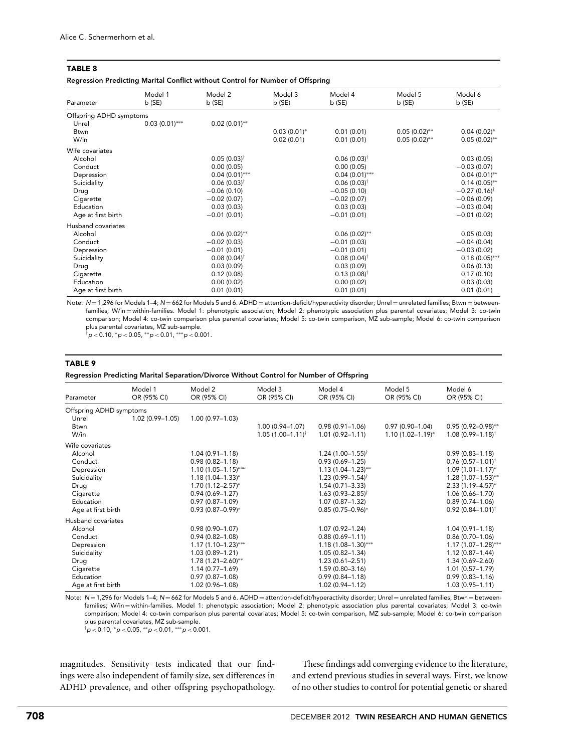Regression Predicting Marital Conflict without Control for Number of Offspring

| Parameter               | Model 1<br>b(SE) | Model 2<br>$b$ (SE)    | Model 3<br>b(SE) | Model 4<br>b(SE)          | Model 5<br>b(SE) | Model 6<br>b(SE)        |
|-------------------------|------------------|------------------------|------------------|---------------------------|------------------|-------------------------|
| Offspring ADHD symptoms |                  |                        |                  |                           |                  |                         |
| Unrel                   | $0.03(0.01)$ *** | $0.02(0.01)$ **        |                  |                           |                  |                         |
| <b>Btwn</b>             |                  |                        | $0.03(0.01)^{*}$ | 0.01(0.01)                | $0.05(0.02)$ **  | $0.04(0.02)^{*}$        |
| W/in                    |                  |                        | 0.02(0.01)       | 0.01(0.01)                | $0.05(0.02)$ **  | $0.05(0.02)$ **         |
| Wife covariates         |                  |                        |                  |                           |                  |                         |
| Alcohol                 |                  | $0.05(0.03)^{\dagger}$ |                  | $0.06(0.03)^{\dagger}$    |                  | 0.03(0.05)              |
| Conduct                 |                  | 0.00(0.05)             |                  | 0.00(0.05)                |                  | $-0.03(0.07)$           |
| Depression              |                  | $0.04(0.01)$ ***       |                  | $0.04(0.01)$ ***          |                  | $0.04(0.01)$ **         |
| Suicidality             |                  | $0.06(0.03)^{\dagger}$ |                  | $0.06(0.03)^{\dagger}$    |                  | $0.14(0.05)$ **         |
| Drug                    |                  | $-0.06(0.10)$          |                  | $-0.05(0.10)$             |                  | $-0.27(0.16)^{\dagger}$ |
| Cigarette               |                  | $-0.02(0.07)$          |                  | $-0.02(0.07)$             |                  | $-0.06(0.09)$           |
| Education               |                  | 0.03(0.03)             |                  | 0.03(0.03)                |                  | $-0.03(0.04)$           |
| Age at first birth      |                  | $-0.01(0.01)$          |                  | $-0.01(0.01)$             |                  | $-0.01(0.02)$           |
| Husband covariates      |                  |                        |                  |                           |                  |                         |
| Alcohol                 |                  | $0.06(0.02)$ **        |                  | $0.06(0.02)$ **           |                  | 0.05(0.03)              |
| Conduct                 |                  | $-0.02(0.03)$          |                  | $-0.01(0.03)$             |                  | $-0.04(0.04)$           |
| Depression              |                  | $-0.01(0.01)$          |                  | $-0.01(0.01)$             |                  | $-0.03(0.02)$           |
| Suicidality             |                  | $0.08(0.04)^{\dagger}$ |                  | $0.08(0.04)$ <sup>†</sup> |                  | $0.18(0.05)$ ***        |
| Drug                    |                  | 0.03(0.09)             |                  | 0.03(0.09)                |                  | 0.06(0.13)              |
| Cigarette               |                  | 0.12(0.08)             |                  | $0.13(0.08)^{\dagger}$    |                  | 0.17(0.10)              |
| Education               |                  | 0.00(0.02)             |                  | 0.00(0.02)                |                  | 0.03(0.03)              |
| Age at first birth      |                  | 0.01(0.01)             |                  | 0.01(0.01)                |                  | 0.01(0.01)              |

Note: N = 1,296 for Models 1-4; N = 662 for Models 5 and 6. ADHD = attention-deficit/hyperactivity disorder; Unrel = unrelated families; Btwn = betweenfamilies; W/in = within-families. Model 1: phenotypic association; Model 2: phenotypic association plus parental covariates; Model 3: co-twin comparison; Model 4: co-twin comparison plus parental covariates; Model 5: co-twin comparison, MZ sub-sample; Model 6: co-twin comparison plus parental covariates, MZ sub-sample.

†p *<* 0.10, <sup>∗</sup>p *<* 0.05, ∗∗p *<* 0.01, ∗∗∗p *<* 0.001.

#### TABLE 9

Regression Predicting Marital Separation/Divorce Without Control for Number of Offspring

| Parameter               | Model 1<br>OR (95% CI) | Model 2<br>OR (95% CI)  | Model 3<br>OR (95% CI)        | Model 4<br>OR (95% CI)           | Model 5<br>OR (95% CI)  | Model 6<br>OR (95% CI)        |
|-------------------------|------------------------|-------------------------|-------------------------------|----------------------------------|-------------------------|-------------------------------|
| Offspring ADHD symptoms |                        |                         |                               |                                  |                         |                               |
| Unrel                   | $1.02(0.99 - 1.05)$    | $1.00(0.97 - 1.03)$     |                               |                                  |                         |                               |
| <b>Btwn</b>             |                        |                         | 1.00 (0.94-1.07)              | $0.98(0.91 - 1.06)$              | $0.97(0.90 - 1.04)$     | $0.95(0.92 - 0.98)$ **        |
| W/in                    |                        |                         | $1.05(1.00 - 1.11)^{\dagger}$ | $1.01(0.92 - 1.11)$              | $1.10(1.02 - 1.19)^{*}$ | $1.08(0.99 - 1.18)^{\dagger}$ |
| Wife covariates         |                        |                         |                               |                                  |                         |                               |
| Alcohol                 |                        | $1.04(0.91 - 1.18)$     |                               | $1.24(1.00 - 1.55)^{\dagger}$    |                         | $0.99(0.83 - 1.18)$           |
| Conduct                 |                        | $0.98(0.82 - 1.18)$     |                               | $0.93(0.69 - 1.25)$              |                         | $0.76(0.57 - 1.01)^{\dagger}$ |
| Depression              |                        | $1.10(1.05 - 1.15)$ *** |                               | $1.13(1.04 - 1.23)$ **           |                         | $1.09(1.01 - 1.17)^{*}$       |
| Suicidality             |                        | $1.18(1.04 - 1.33)^{*}$ |                               | $1.23(0.99 - 1.54)$ <sup>†</sup> |                         | $1.28(1.07-1.53)$ **          |
| Drug                    |                        | $1.70(1.12 - 2.57)^{*}$ |                               | $1.54(0.71 - 3.33)$              |                         | $2.33(1.19 - 4.57)^{*}$       |
| Cigarette               |                        | $0.94(0.69 - 1.27)$     |                               | $1.63(0.93 - 2.85)$ <sup>†</sup> |                         | $1.06(0.66 - 1.70)$           |
| Education               |                        | $0.97(0.87 - 1.09)$     |                               | $1.07(0.87 - 1.32)$              |                         | $0.89(0.74 - 1.06)$           |
| Age at first birth      |                        | $0.93(0.87 - 0.99)^{*}$ |                               | $0.85(0.75 - 0.96)^{*}$          |                         | $0.92(0.84 - 1.01)^{\dagger}$ |
| Husband covariates      |                        |                         |                               |                                  |                         |                               |
| Alcohol                 |                        | $0.98(0.90 - 1.07)$     |                               | $1.07(0.92 - 1.24)$              |                         | $1.04(0.91 - 1.18)$           |
| Conduct                 |                        | $0.94(0.82 - 1.08)$     |                               | $0.88(0.69 - 1.11)$              |                         | $0.86(0.70 - 1.06)$           |
| Depression              |                        | $1.17(1.10-1.23)***$    |                               | $1.18(1.08 - 1.30)$ ***          |                         | $1.17(1.07-1.28)***$          |
| Suicidality             |                        | $1.03(0.89 - 1.21)$     |                               | $1.05(0.82 - 1.34)$              |                         | $1.12(0.87 - 1.44)$           |
| Drug                    |                        | $1.78(1.21 - 2.60)$ **  |                               | $1.23(0.61 - 2.51)$              |                         | $1.34(0.69 - 2.60)$           |
| Cigarette               |                        | $1.14(0.77 - 1.69)$     |                               | $1.59(0.80 - 3.16)$              |                         | $1.01(0.57 - 1.79)$           |
| Education               |                        | $0.97(0.87 - 1.08)$     |                               | $0.99(0.84 - 1.18)$              |                         | $0.99(0.83 - 1.16)$           |
| Age at first birth      |                        | $1.02(0.96 - 1.08)$     |                               | $1.02(0.94 - 1.12)$              |                         | $1.03(0.95 - 1.11)$           |

Note:  $N = 1,296$  for Models 1–4;  $N = 662$  for Models 5 and 6. ADHD = attention-deficit/hyperactivity disorder; Unrel = unrelated families; Btwn = betweenfamilies; W/in = within-families. Model 1: phenotypic association; Model 2: phenotypic association plus parental covariates; Model 3: co-twin comparison; Model 4: co-twin comparison plus parental covariates; Model 5: co-twin comparison, MZ sub-sample; Model 6: co-twin comparison plus parental covariates, MZ sub-sample.

†p *<* 0.10, <sup>∗</sup>p *<* 0.05, ∗∗p *<* 0.01, ∗∗∗p *<* 0.001.

magnitudes. Sensitivity tests indicated that our findings were also independent of family size, sex differences in ADHD prevalence, and other offspring psychopathology.

These findings add converging evidence to the literature, and extend previous studies in several ways. First, we know of no other studies to control for potential genetic or shared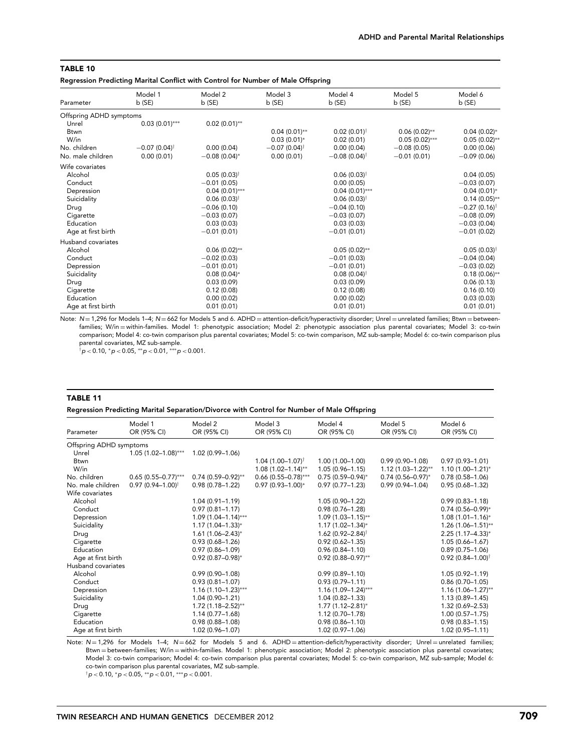Regression Predicting Marital Conflict with Control for Number of Male Offspring

| Parameter               | Model 1<br>b(SE)           | Model 2<br>b(SE)       | Model 3<br>b (SE)          | Model 4<br>b(SE)           | Model 5<br>b(SE) | Model 6<br>b(SE)           |
|-------------------------|----------------------------|------------------------|----------------------------|----------------------------|------------------|----------------------------|
| Offspring ADHD symptoms |                            |                        |                            |                            |                  |                            |
| Unrel                   | $0.03(0.01)$ ***           | $0.02(0.01)$ **        |                            |                            |                  |                            |
| <b>Btwn</b>             |                            |                        | $0.04(0.01)$ **            | $0.02(0.01)^{\dagger}$     | $0.06(0.02)$ **  | $0.04(0.02)^{*}$           |
| W/in                    |                            |                        | $0.03(0.01)^*$             | 0.02(0.01)                 | $0.05(0.02)$ *** | $0.05(0.02)$ **            |
| No. children            | $-0.07(0.04)$ <sup>†</sup> | 0.00(0.04)             | $-0.07(0.04)$ <sup>†</sup> | 0.00(0.04)                 | $-0.08(0.05)$    | 0.00(0.06)                 |
| No. male children       | 0.00(0.01)                 | $-0.08(0.04)$ *        | 0.00(0.01)                 | $-0.08(0.04)$ <sup>†</sup> | $-0.01(0.01)$    | $-0.09(0.06)$              |
| Wife covariates         |                            |                        |                            |                            |                  |                            |
| Alcohol                 |                            | $0.05(0.03)^{\dagger}$ |                            | $0.06(0.03)^{\dagger}$     |                  | 0.04(0.05)                 |
| Conduct                 |                            | $-0.01(0.05)$          |                            | 0.00(0.05)                 |                  | $-0.03(0.07)$              |
| Depression              |                            | $0.04(0.01)$ ***       |                            | $0.04(0.01)$ ***           |                  | $0.04(0.01)^{*}$           |
| Suicidality             |                            | $0.06(0.03)^{\dagger}$ |                            | $0.06(0.03)^{\dagger}$     |                  | $0.14(0.05)$ **            |
| Drug                    |                            | $-0.06(0.10)$          |                            | $-0.04(0.10)$              |                  | $-0.27(0.16)$ <sup>†</sup> |
| Cigarette               |                            | $-0.03(0.07)$          |                            | $-0.03(0.07)$              |                  | $-0.08(0.09)$              |
| Education               |                            | 0.03(0.03)             |                            | 0.03(0.03)                 |                  | $-0.03(0.04)$              |
| Age at first birth      |                            | $-0.01(0.01)$          |                            | $-0.01(0.01)$              |                  | $-0.01(0.02)$              |
| Husband covariates      |                            |                        |                            |                            |                  |                            |
| Alcohol                 |                            | $0.06(0.02)$ **        |                            | $0.05(0.02)$ **            |                  | $0.05(0.03)$ <sup>†</sup>  |
| Conduct                 |                            | $-0.02(0.03)$          |                            | $-0.01(0.03)$              |                  | $-0.04(0.04)$              |
| Depression              |                            | $-0.01(0.01)$          |                            | $-0.01(0.01)$              |                  | $-0.03(0.02)$              |
| Suicidality             |                            | $0.08(0.04)$ *         |                            | $0.08(0.04)$ <sup>†</sup>  |                  | $0.18(0.06)$ **            |
| Drug                    |                            | 0.03(0.09)             |                            | 0.03(0.09)                 |                  | 0.06(0.13)                 |
| Cigarette               |                            | 0.12(0.08)             |                            | 0.12(0.08)                 |                  | 0.16(0.10)                 |
| Education               |                            | 0.00(0.02)             |                            | 0.00(0.02)                 |                  | 0.03(0.03)                 |
| Age at first birth      |                            | 0.01(0.01)             |                            | 0.01(0.01)                 |                  | 0.01(0.01)                 |

Note: N = 1,296 for Models 1-4; N = 662 for Models 5 and 6. ADHD = attention-deficit/hyperactivity disorder; Unrel = unrelated families; Btwn = betweenfamilies; W/in = within-families. Model 1: phenotypic association; Model 2: phenotypic association plus parental covariates; Model 3: co-twin comparison; Model 4: co-twin comparison plus parental covariates; Model 5: co-twin comparison, MZ sub-sample; Model 6: co-twin comparison plus parental covariates, MZ sub-sample.

†p *<* 0.10, <sup>∗</sup>p *<* 0.05, ∗∗p *<* 0.01, ∗∗∗p *<* 0.001.

#### TABLE 11

# Regression Predicting Marital Separation/Divorce with Control for Number of Male Offspring

| Parameter               | Model 1<br>OR (95% CI)        | Model 2<br>OR (95% CI)  | Model 3<br>OR (95% CI)        | Model 4<br>OR (95% CI)            | Model 5<br>OR (95% CI)  | Model 6<br>OR (95% CI)        |
|-------------------------|-------------------------------|-------------------------|-------------------------------|-----------------------------------|-------------------------|-------------------------------|
| Offspring ADHD symptoms |                               |                         |                               |                                   |                         |                               |
| Unrel                   | $1.05(1.02 - 1.08)$ ***       | $1.02(0.99 - 1.06)$     |                               |                                   |                         |                               |
| <b>Btwn</b>             |                               |                         | $1.04(1.00 - 1.07)^{\dagger}$ | $1.00(1.00-1.00)$                 | $0.99(0.90 - 1.08)$     | $0.97(0.93 - 1.01)$           |
| W/in                    |                               |                         | $1.08(1.02 - 1.14)$ **        | $1.05(0.96 - 1.15)$               | $1.12(1.03 - 1.22)$ **  | $1.10(1.00 - 1.21)^{*}$       |
| No. children            | $0.65(0.55 - 0.77)$ ***       | $0.74(0.59 - 0.92)$ **  | $0.66$ (0.55-0.78)***         | $0.75(0.59 - 0.94)^{*}$           | $0.74(0.56 - 0.97)^{*}$ | $0.78(0.58 - 1.06)$           |
| No. male children       | $0.97(0.94 - 1.00)^{\dagger}$ | $0.98(0.78 - 1.22)$     | $0.97(0.93 - 1.00)^{*}$       | $0.97(0.77 - 1.23)$               | $0.99(0.94 - 1.04)$     | $0.95(0.68 - 1.32)$           |
| Wife covariates         |                               |                         |                               |                                   |                         |                               |
| Alcohol                 |                               | $1.04(0.91 - 1.19)$     |                               | 1.05 (0.90-1.22)                  |                         | $0.99(0.83 - 1.18)$           |
| Conduct                 |                               | $0.97(0.81 - 1.17)$     |                               | $0.98(0.76 - 1.28)$               |                         | $0.74(0.56 - 0.99)^{*}$       |
| Depression              |                               | $1.09(1.04 - 1.14)$ *** |                               | $1.09(1.03 - 1.15)$ **            |                         | $1.08(1.01 - 1.16)^{*}$       |
| Suicidality             |                               | $1.17(1.04 - 1.33)^{*}$ |                               | $1.17(1.02 - 1.34)^{*}$           |                         | $1.26(1.06 - 1.51)$ **        |
| Drug                    |                               | $1.61(1.06 - 2.43)*$    |                               | 1.62 $(0.92 - 2.84)$ <sup>†</sup> |                         | $2.25(1.17 - 4.33)^{*}$       |
| Cigarette               |                               | $0.93(0.68 - 1.26)$     |                               | $0.92(0.62 - 1.35)$               |                         | $1.05(0.66 - 1.67)$           |
| Education               |                               | $0.97(0.86 - 1.09)$     |                               | $0.96(0.84 - 1.10)$               |                         | $0.89(0.75 - 1.06)$           |
| Age at first birth      |                               | $0.92(0.87 - 0.98)^{*}$ |                               | $0.92(0.88 - 0.97)$ **            |                         | $0.92(0.84 - 1.00)^{\dagger}$ |
| Husband covariates      |                               |                         |                               |                                   |                         |                               |
| Alcohol                 |                               | $0.99(0.90 - 1.08)$     |                               | $0.99(0.89 - 1.10)$               |                         | $1.05(0.92 - 1.19)$           |
| Conduct                 |                               | $0.93(0.81 - 1.07)$     |                               | $0.93(0.79 - 1.11)$               |                         | $0.86(0.70 - 1.05)$           |
| Depression              |                               | $1.16(1.10-1.23)***$    |                               | $1.16(1.09 - 1.24)$ ***           |                         | $1.16(1.06 - 1.27)$ **        |
| Suicidality             |                               | $1.04(0.90 - 1.21)$     |                               | $1.04(0.82 - 1.33)$               |                         | $1.13(0.89 - 1.45)$           |
| Drug                    |                               | $1.72(1.18 - 2.52)$ **  |                               | $1.77(1.12 - 2.81)^{*}$           |                         | $1.32(0.69 - 2.53)$           |
| Cigarette               |                               | $1.14(0.77 - 1.68)$     |                               | $1.12(0.70 - 1.78)$               |                         | $1.00(0.57 - 1.75)$           |
| Education               |                               | $0.98(0.88 - 1.08)$     |                               | $0.98(0.86 - 1.10)$               |                         | $0.98(0.83 - 1.15)$           |
| Age at first birth      |                               | 1.02 (0.96-1.07)        |                               | $1.02(0.97 - 1.06)$               |                         | $1.02(0.95 - 1.11)$           |

Note: N = 1,296 for Models 1-4; N = 662 for Models 5 and 6. ADHD = attention-deficit/hyperactivity disorder; Unrel = unrelated families; Btwn = between-families; W/in = within-families. Model 1: phenotypic association; Model 2: phenotypic association plus parental covariates; Model 3: co-twin comparison; Model 4: co-twin comparison plus parental covariates; Model 5: co-twin comparison, MZ sub-sample; Model 6: co-twin comparison plus parental covariates, MZ sub-sample.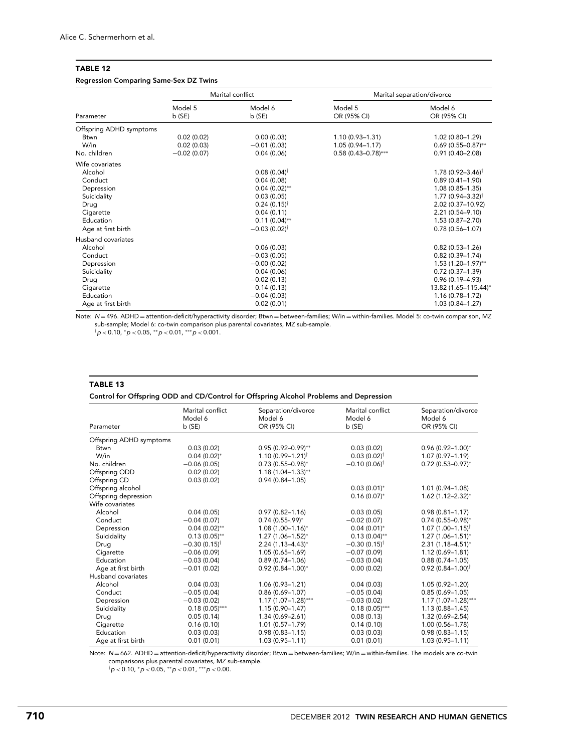# Regression Comparing Same-Sex DZ Twins

|                         |                  | Marital conflict          | Marital separation/divorce |                               |  |
|-------------------------|------------------|---------------------------|----------------------------|-------------------------------|--|
| Parameter               | Model 5<br>b(SE) | Model 6<br>b(SE)          | Model 5<br>OR (95% CI)     | Model 6<br>OR (95% CI)        |  |
| Offspring ADHD symptoms |                  |                           |                            |                               |  |
| Btwn                    | 0.02(0.02)       | 0.00(0.03)                | $1.10(0.93 - 1.31)$        | $1.02(0.80 - 1.29)$           |  |
| W/in                    | 0.02(0.03)       | $-0.01(0.03)$             | $1.05(0.94 - 1.17)$        | $0.69(0.55 - 0.87)$ **        |  |
| No. children            | $-0.02(0.07)$    | 0.04(0.06)                | $0.58(0.43 - 0.78)$ ***    | $0.91(0.40 - 2.08)$           |  |
| Wife covariates         |                  |                           |                            |                               |  |
| Alcohol                 |                  | $0.08(0.04)$ <sup>†</sup> |                            | $1.78(0.92 - 3.46)^{\dagger}$ |  |
| Conduct                 |                  | 0.04(0.08)                |                            | $0.89(0.41 - 1.90)$           |  |
| Depression              |                  | $0.04(0.02)$ **           |                            | $1.08(0.85 - 1.35)$           |  |
| Suicidality             |                  | 0.03(0.05)                |                            | $1.77(0.94 - 3.32)^{\dagger}$ |  |
| Drug                    |                  | $0.24(0.15)^{\dagger}$    |                            | 2.02 (0.37-10.92)             |  |
| Cigarette               |                  | 0.04(0.11)                |                            | $2.21(0.54 - 9.10)$           |  |
| Education               |                  | $0.11(0.04)$ **           |                            | $1.53(0.87 - 2.70)$           |  |
| Age at first birth      |                  | $-0.03(0.02)^{\dagger}$   |                            | $0.78(0.56 - 1.07)$           |  |
| Husband covariates      |                  |                           |                            |                               |  |
| Alcohol                 |                  | 0.06(0.03)                |                            | $0.82(0.53 - 1.26)$           |  |
| Conduct                 |                  | $-0.03(0.05)$             |                            | $0.82(0.39 - 1.74)$           |  |
| Depression              |                  | $-0.00(0.02)$             |                            | $1.53(1.20-1.97)$ **          |  |
| Suicidality             |                  | 0.04(0.06)                |                            | $0.72(0.37 - 1.39)$           |  |
| Drug                    |                  | $-0.02(0.13)$             |                            | $0.96(0.19 - 4.93)$           |  |
| Cigarette               |                  | 0.14(0.13)                |                            | 13.82 (1.65-115.44)*          |  |
| Education               |                  | $-0.04(0.03)$             |                            | $1.16(0.78 - 1.72)$           |  |
| Age at first birth      |                  | 0.02(0.01)                |                            | $1.03(0.84 - 1.27)$           |  |

Note: N = 496. ADHD = attention-deficit/hyperactivity disorder; Btwn = between-families; W/in = within-families. Model 5: co-twin comparison, MZ sub-sample; Model 6: co-twin comparison plus parental covariates, MZ sub-sample.

†p *<* 0.10, <sup>∗</sup>p *<* 0.05, ∗∗p *<* 0.01, ∗∗∗p *<* 0.001.

# TABLE 13

Control for Offspring ODD and CD/Control for Offspring Alcohol Problems and Depression

|                         | Marital conflict<br>Model 6 | Separation/divorce<br>Model 6 | Marital conflict<br>Model 6 | Separation/divorce<br>Model 6 |
|-------------------------|-----------------------------|-------------------------------|-----------------------------|-------------------------------|
| Parameter               | b(SE)                       | OR (95% CI)                   | b(SE)                       | OR (95% CI)                   |
| Offspring ADHD symptoms |                             |                               |                             |                               |
| <b>Btwn</b>             | 0.03(0.02)                  | $0.95(0.92 - 0.99)$ **        | 0.03(0.02)                  | $0.96(0.92 - 1.00)^*$         |
| W/in                    | $0.04(0.02)$ *              | $1.10(0.99 - 1.21)^{\dagger}$ | $0.03(0.02)^{\dagger}$      | $1.07(0.97 - 1.19)$           |
| No. children            | $-0.06(0.05)$               | $0.73(0.55 - 0.98)^{*}$       | $-0.10(0.06)^{\dagger}$     | $0.72(0.53 - 0.97)^{*}$       |
| Offspring ODD           | 0.02(0.02)                  | $1.18(1.04 - 1.33)$ **        |                             |                               |
| Offspring CD            | 0.03(0.02)                  | $0.94(0.84 - 1.05)$           |                             |                               |
| Offspring alcohol       |                             |                               | $0.03(0.01)*$               | $1.01(0.94 - 1.08)$           |
| Offspring depression    |                             |                               | $0.16(0.07)^*$              | $1.62(1.12 - 2.32)^{*}$       |
| Wife covariates         |                             |                               |                             |                               |
| Alcohol                 | 0.04(0.05)                  | $0.97(0.82 - 1.16)$           | 0.03(0.05)                  | $0.98(0.81 - 1.17)$           |
| Conduct                 | $-0.04(0.07)$               | $0.74(0.55-99)*$              | $-0.02(0.07)$               | $0.74(0.55 - 0.98)^{*}$       |
| Depression              | $0.04(0.02)$ **             | $1.08(1.00 - 1.16)^{*}$       | $0.04(0.01)*$               | $1.07(1.00 - 1.15)^{\dagger}$ |
| Suicidality             | $0.13(0.05)$ **             | $1.27(1.06 - 1.52)^{*}$       | $0.13(0.04)$ **             | $1.27(1.06 - 1.51)^{*}$       |
| Drug                    | $-0.30(0.15)^{\dagger}$     | $2.24(1.13 - 4.43)^{*}$       | $-0.30(0.15)^{\dagger}$     | $2.31(1.18 - 4.51)^{*}$       |
| Cigarette               | $-0.06(0.09)$               | $1.05(0.65 - 1.69)$           | $-0.07(0.09)$               | $1.12(0.69 - 1.81)$           |
| Education               | $-0.03(0.04)$               | $0.89(0.74 - 1.06)$           | $-0.03(0.04)$               | $0.88(0.74 - 1.05)$           |
| Age at first birth      | $-0.01(0.02)$               | $0.92(0.84 - 1.00)^{*}$       | 0.00(0.02)                  | $0.92(0.84 - 1.00)^{\dagger}$ |
| Husband covariates      |                             |                               |                             |                               |
| Alcohol                 | 0.04(0.03)                  | $1.06(0.93 - 1.21)$           | 0.04(0.03)                  | $1.05(0.92 - 1.20)$           |
| Conduct                 | $-0.05(0.04)$               | $0.86(0.69 - 1.07)$           | $-0.05(0.04)$               | $0.85(0.69 - 1.05)$           |
| Depression              | $-0.03(0.02)$               | $1.17(1.07-1.28)$ ***         | $-0.03(0.02)$               | $1.17(1.07-1.28)***$          |
| Suicidality             | $0.18(0.05)$ ***            | $1.15(0.90 - 1.47)$           | $0.18(0.05)$ ***            | $1.13(0.88 - 1.45)$           |
| Drug                    | 0.05(0.14)                  | $1.34(0.69 - 2.61)$           | 0.08(0.13)                  | $1.32(0.69 - 2.54)$           |
| Cigarette               | 0.16(0.10)                  | $1.01(0.57 - 1.79)$           | 0.14(0.10)                  | $1.00(0.56 - 1.78)$           |
| Education               | 0.03(0.03)                  | $0.98(0.83 - 1.15)$           | 0.03(0.03)                  | $0.98(0.83 - 1.15)$           |
| Age at first birth      | 0.01(0.01)                  | $1.03(0.95 - 1.11)$           | 0.01(0.01)                  | $1.03(0.95 - 1.11)$           |

Note: N = 662. ADHD = attention-deficit/hyperactivity disorder; Btwn = between-families; W/in = within-families. The models are co-twin comparisons plus parental covariates, MZ sub-sample.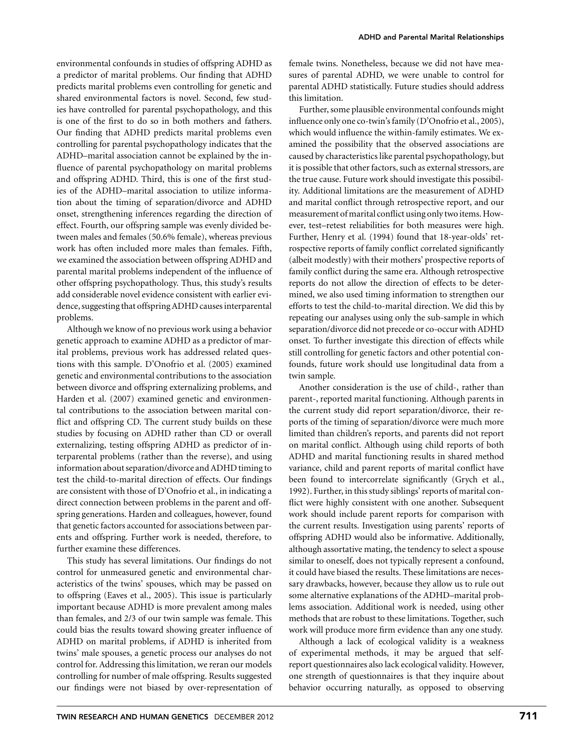environmental confounds in studies of offspring ADHD as a predictor of marital problems. Our finding that ADHD predicts marital problems even controlling for genetic and shared environmental factors is novel. Second, few studies have controlled for parental psychopathology, and this is one of the first to do so in both mothers and fathers. Our finding that ADHD predicts marital problems even controlling for parental psychopathology indicates that the ADHD–marital association cannot be explained by the influence of parental psychopathology on marital problems and offspring ADHD. Third, this is one of the first studies of the ADHD–marital association to utilize information about the timing of separation/divorce and ADHD onset, strengthening inferences regarding the direction of effect. Fourth, our offspring sample was evenly divided between males and females (50.6% female), whereas previous work has often included more males than females. Fifth, we examined the association between offspring ADHD and parental marital problems independent of the influence of other offspring psychopathology. Thus, this study's results add considerable novel evidence consistent with earlier evidence, suggesting that offspring ADHD causes interparental problems.

Although we know of no previous work using a behavior genetic approach to examine ADHD as a predictor of marital problems, previous work has addressed related questions with this sample. D'Onofrio et al. (2005) examined genetic and environmental contributions to the association between divorce and offspring externalizing problems, and Harden et al. (2007) examined genetic and environmental contributions to the association between marital conflict and offspring CD. The current study builds on these studies by focusing on ADHD rather than CD or overall externalizing, testing offspring ADHD as predictor of interparental problems (rather than the reverse), and using information about separation/divorce and ADHD timing to test the child-to-marital direction of effects. Our findings are consistent with those of D'Onofrio et al., in indicating a direct connection between problems in the parent and offspring generations. Harden and colleagues, however, found that genetic factors accounted for associations between parents and offspring. Further work is needed, therefore, to further examine these differences.

This study has several limitations. Our findings do not control for unmeasured genetic and environmental characteristics of the twins' spouses, which may be passed on to offspring (Eaves et al., 2005). This issue is particularly important because ADHD is more prevalent among males than females, and 2/3 of our twin sample was female. This could bias the results toward showing greater influence of ADHD on marital problems, if ADHD is inherited from twins' male spouses, a genetic process our analyses do not control for. Addressing this limitation, we reran our models controlling for number of male offspring. Results suggested our findings were not biased by over-representation of female twins. Nonetheless, because we did not have measures of parental ADHD, we were unable to control for parental ADHD statistically. Future studies should address this limitation.

Further, some plausible environmental confounds might influence only one co-twin's family (D'Onofrio et al., 2005), which would influence the within-family estimates. We examined the possibility that the observed associations are caused by characteristics like parental psychopathology, but it is possible that other factors, such as external stressors, are the true cause. Future work should investigate this possibility. Additional limitations are the measurement of ADHD and marital conflict through retrospective report, and our measurement of marital conflict using only two items. However, test–retest reliabilities for both measures were high. Further, Henry et al. (1994) found that 18-year-olds' retrospective reports of family conflict correlated significantly (albeit modestly) with their mothers' prospective reports of family conflict during the same era. Although retrospective reports do not allow the direction of effects to be determined, we also used timing information to strengthen our efforts to test the child-to-marital direction. We did this by repeating our analyses using only the sub-sample in which separation/divorce did not precede or co-occur with ADHD onset. To further investigate this direction of effects while still controlling for genetic factors and other potential confounds, future work should use longitudinal data from a twin sample.

Another consideration is the use of child-, rather than parent-, reported marital functioning. Although parents in the current study did report separation/divorce, their reports of the timing of separation/divorce were much more limited than children's reports, and parents did not report on marital conflict. Although using child reports of both ADHD and marital functioning results in shared method variance, child and parent reports of marital conflict have been found to intercorrelate significantly (Grych et al., 1992). Further, in this study siblings' reports of marital conflict were highly consistent with one another. Subsequent work should include parent reports for comparison with the current results. Investigation using parents' reports of offspring ADHD would also be informative. Additionally, although assortative mating, the tendency to select a spouse similar to oneself, does not typically represent a confound, it could have biased the results. These limitations are necessary drawbacks, however, because they allow us to rule out some alternative explanations of the ADHD–marital problems association. Additional work is needed, using other methods that are robust to these limitations. Together, such work will produce more firm evidence than any one study.

Although a lack of ecological validity is a weakness of experimental methods, it may be argued that selfreport questionnaires also lack ecological validity. However, one strength of questionnaires is that they inquire about behavior occurring naturally, as opposed to observing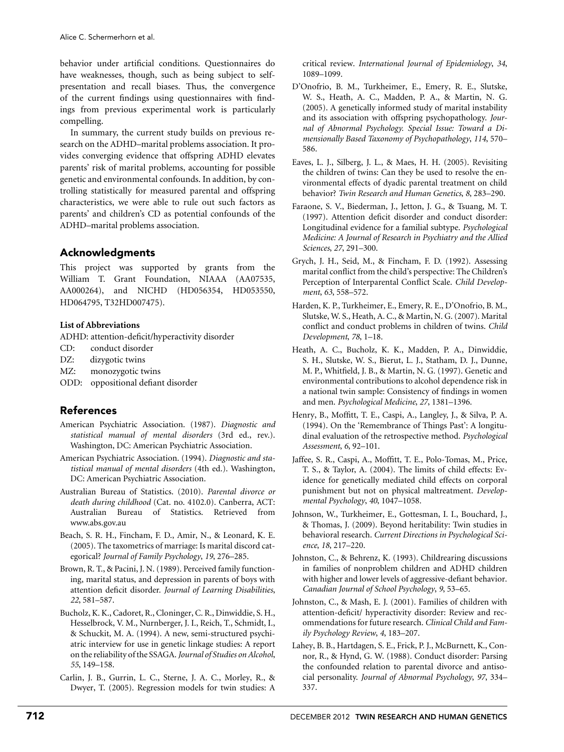behavior under artificial conditions. Questionnaires do have weaknesses, though, such as being subject to selfpresentation and recall biases. Thus, the convergence of the current findings using questionnaires with findings from previous experimental work is particularly compelling.

In summary, the current study builds on previous research on the ADHD–marital problems association. It provides converging evidence that offspring ADHD elevates parents' risk of marital problems, accounting for possible genetic and environmental confounds. In addition, by controlling statistically for measured parental and offspring characteristics, we were able to rule out such factors as parents' and children's CD as potential confounds of the ADHD–marital problems association.

# Acknowledgments

This project was supported by grants from the William T. Grant Foundation, NIAAA (AA07535, AA000264), and NICHD (HD056354, HD053550, HD064795, T32HD007475).

# **List of Abbreviations**

ADHD: attention-deficit/hyperactivity disorder

- CD: conduct disorder
- DZ: dizygotic twins
- MZ: monozygotic twins
- ODD: oppositional defiant disorder

# References

- American Psychiatric Association. (1987). *Diagnostic and statistical manual of mental disorders* (3rd ed., rev.). Washington, DC: American Psychiatric Association.
- American Psychiatric Association. (1994). *Diagnostic and statistical manual of mental disorders* (4th ed.). Washington, DC: American Psychiatric Association.
- Australian Bureau of Statistics. (2010). *Parental divorce or death during childhood* (Cat. no. 4102.0). Canberra, ACT: Australian Bureau of Statistics. Retrieved from www.abs.gov.au
- Beach, S. R. H., Fincham, F. D., Amir, N., & Leonard, K. E. (2005). The taxometrics of marriage: Is marital discord categorical? *Journal of Family Psychology*, *19*, 276–285.
- Brown, R. T., & Pacini, J. N. (1989). Perceived family functioning, marital status, and depression in parents of boys with attention deficit disorder. *Journal of Learning Disabilities*, *22*, 581–587.
- Bucholz, K. K., Cadoret, R., Cloninger, C. R., Dinwiddie, S. H., Hesselbrock, V. M., Nurnberger, J. I., Reich, T., Schmidt, I., & Schuckit, M. A. (1994). A new, semi-structured psychiatric interview for use in genetic linkage studies: A report on the reliability of the SSAGA.*Journal of Studies on Alcohol*, *55*, 149–158.
- Carlin, J. B., Gurrin, L. C., Sterne, J. A. C., Morley, R., & Dwyer, T. (2005). Regression models for twin studies: A

critical review. *International Journal of Epidemiology*, *34*, 1089–1099.

- D'Onofrio, B. M., Turkheimer, E., Emery, R. E., Slutske, W. S., Heath, A. C., Madden, P. A., & Martin, N. G. (2005). A genetically informed study of marital instability and its association with offspring psychopathology. *Journal of Abnormal Psychology. Special Issue: Toward a Dimensionally Based Taxonomy of Psychopathology*, *114*, 570– 586.
- Eaves, L. J., Silberg, J. L., & Maes, H. H. (2005). Revisiting the children of twins: Can they be used to resolve the environmental effects of dyadic parental treatment on child behavior? *Twin Research and Human Genetics*, *8*, 283–290.
- Faraone, S. V., Biederman, J., Jetton, J. G., & Tsuang, M. T. (1997). Attention deficit disorder and conduct disorder: Longitudinal evidence for a familial subtype. *Psychological Medicine: A Journal of Research in Psychiatry and the Allied Sciences*, *27*, 291–300.
- Grych, J. H., Seid, M., & Fincham, F. D. (1992). Assessing marital conflict from the child's perspective: The Children's Perception of Interparental Conflict Scale. *Child Development*, *63*, 558–572.
- Harden, K. P., Turkheimer, E., Emery, R. E., D'Onofrio, B. M., Slutske, W. S., Heath, A. C., & Martin, N. G. (2007). Marital conflict and conduct problems in children of twins. *Child Development*, *78*, 1–18.
- Heath, A. C., Bucholz, K. K., Madden, P. A., Dinwiddie, S. H., Slutske, W. S., Bierut, L. J., Statham, D. J., Dunne, M. P., Whitfield, J. B., & Martin, N. G. (1997). Genetic and environmental contributions to alcohol dependence risk in a national twin sample: Consistency of findings in women and men. *Psychological Medicine*, *27*, 1381–1396.
- Henry, B., Moffitt, T. E., Caspi, A., Langley, J., & Silva, P. A. (1994). On the 'Remembrance of Things Past': A longitudinal evaluation of the retrospective method. *Psychological Assessment*, *6*, 92–101.
- Jaffee, S. R., Caspi, A., Moffitt, T. E., Polo-Tomas, M., Price, T. S., & Taylor, A. (2004). The limits of child effects: Evidence for genetically mediated child effects on corporal punishment but not on physical maltreatment. *Developmental Psychology*, *40*, 1047–1058.
- Johnson, W., Turkheimer, E., Gottesman, I. I., Bouchard, J., & Thomas, J. (2009). Beyond heritability: Twin studies in behavioral research. *Current Directions in Psychological Science*, *18*, 217–220.
- Johnston, C., & Behrenz, K. (1993). Childrearing discussions in families of nonproblem children and ADHD children with higher and lower levels of aggressive-defiant behavior. *Canadian Journal of School Psychology*, *9*, 53–65.
- Johnston, C., & Mash, E. J. (2001). Families of children with attention-deficit/ hyperactivity disorder: Review and recommendations for future research. *Clinical Child and Family Psychology Review*, *4*, 183–207.
- Lahey, B. B., Hartdagen, S. E., Frick, P. J., McBurnett, K., Connor, R., & Hynd, G. W. (1988). Conduct disorder: Parsing the confounded relation to parental divorce and antisocial personality. *Journal of Abnormal Psychology*, *97*, 334– 337.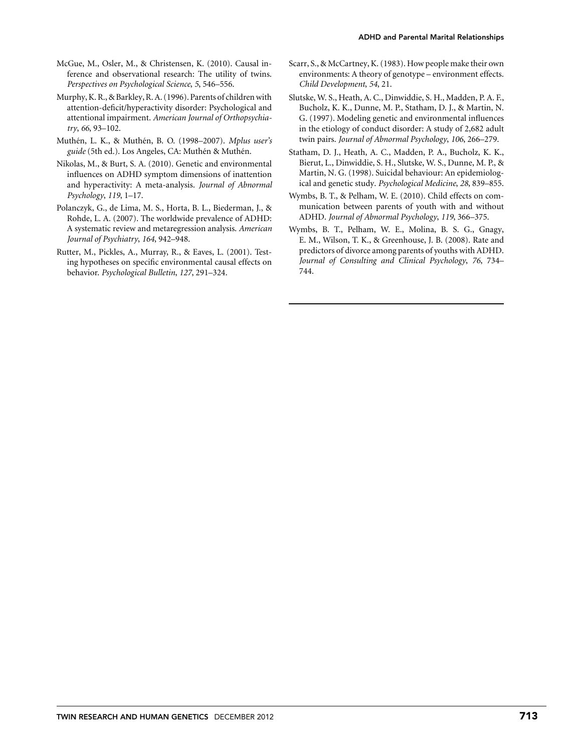- McGue, M., Osler, M., & Christensen, K. (2010). Causal inference and observational research: The utility of twins. *Perspectives on Psychological Science*, *5*, 546–556.
- Murphy, K. R., & Barkley, R. A. (1996). Parents of children with attention-deficit/hyperactivity disorder: Psychological and attentional impairment. *American Journal of Orthopsychiatry*, *66*, 93–102.
- Muthén, L. K., & Muthén, B. O. (1998–2007). *Mplus user's guide* (5th ed.). Los Angeles, CA: Muthén & Muthén.
- Nikolas, M., & Burt, S. A. (2010). Genetic and environmental influences on ADHD symptom dimensions of inattention and hyperactivity: A meta-analysis. *Journal of Abnormal Psychology*, *119*, 1–17.
- Polanczyk, G., de Lima, M. S., Horta, B. L., Biederman, J., & Rohde, L. A. (2007). The worldwide prevalence of ADHD: A systematic review and metaregression analysis. *American Journal of Psychiatry*, *164*, 942–948.
- Rutter, M., Pickles, A., Murray, R., & Eaves, L. (2001). Testing hypotheses on specific environmental causal effects on behavior. *Psychological Bulletin*, *127*, 291–324.
- Scarr, S., & McCartney, K. (1983). How people make their own environments: A theory of genotype – environment effects. *Child Development*, *54*, 21.
- Slutske, W. S., Heath, A. C., Dinwiddie, S. H., Madden, P. A. F., Bucholz, K. K., Dunne, M. P., Statham, D. J., & Martin, N. G. (1997). Modeling genetic and environmental influences in the etiology of conduct disorder: A study of 2,682 adult twin pairs. *Journal of Abnormal Psychology*, *106*, 266–279.
- Statham, D. J., Heath, A. C., Madden, P. A., Bucholz, K. K., Bierut, L., Dinwiddie, S. H., Slutske, W. S., Dunne, M. P., & Martin, N. G. (1998). Suicidal behaviour: An epidemiological and genetic study. *Psychological Medicine*, *28*, 839–855.
- Wymbs, B. T., & Pelham, W. E. (2010). Child effects on communication between parents of youth with and without ADHD. *Journal of Abnormal Psychology*, *119*, 366–375.
- Wymbs, B. T., Pelham, W. E., Molina, B. S. G., Gnagy, E. M., Wilson, T. K., & Greenhouse, J. B. (2008). Rate and predictors of divorce among parents of youths with ADHD. *Journal of Consulting and Clinical Psychology*, *76*, 734– 744.